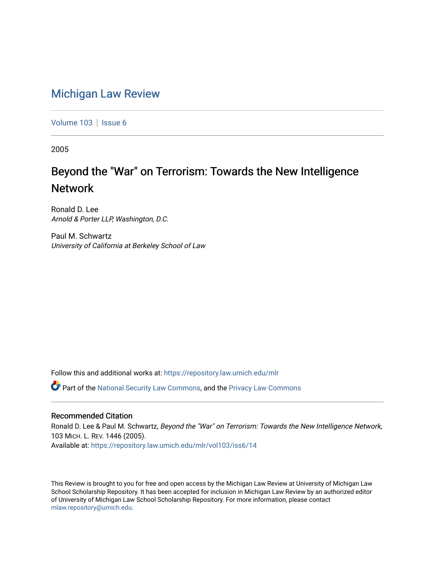# [Michigan Law Review](https://repository.law.umich.edu/mlr)

[Volume 103](https://repository.law.umich.edu/mlr/vol103) | [Issue 6](https://repository.law.umich.edu/mlr/vol103/iss6)

2005

# Beyond the "War" on Terrorism: Towards the New Intelligence Network

Ronald D. Lee Arnold & Porter LLP, Washington, D.C.

Paul M. Schwartz University of California at Berkeley School of Law

Follow this and additional works at: [https://repository.law.umich.edu/mlr](https://repository.law.umich.edu/mlr?utm_source=repository.law.umich.edu%2Fmlr%2Fvol103%2Fiss6%2F14&utm_medium=PDF&utm_campaign=PDFCoverPages) 

 $\bullet$  Part of the [National Security Law Commons](http://network.bepress.com/hgg/discipline/1114?utm_source=repository.law.umich.edu%2Fmlr%2Fvol103%2Fiss6%2F14&utm_medium=PDF&utm_campaign=PDFCoverPages), and the Privacy Law Commons

# Recommended Citation

Ronald D. Lee & Paul M. Schwartz, Beyond the "War" on Terrorism: Towards the New Intelligence Network, 103 MICH. L. REV. 1446 (2005). Available at: [https://repository.law.umich.edu/mlr/vol103/iss6/14](https://repository.law.umich.edu/mlr/vol103/iss6/14?utm_source=repository.law.umich.edu%2Fmlr%2Fvol103%2Fiss6%2F14&utm_medium=PDF&utm_campaign=PDFCoverPages) 

This Review is brought to you for free and open access by the Michigan Law Review at University of Michigan Law School Scholarship Repository. It has been accepted for inclusion in Michigan Law Review by an authorized editor of University of Michigan Law School Scholarship Repository. For more information, please contact [mlaw.repository@umich.edu.](mailto:mlaw.repository@umich.edu)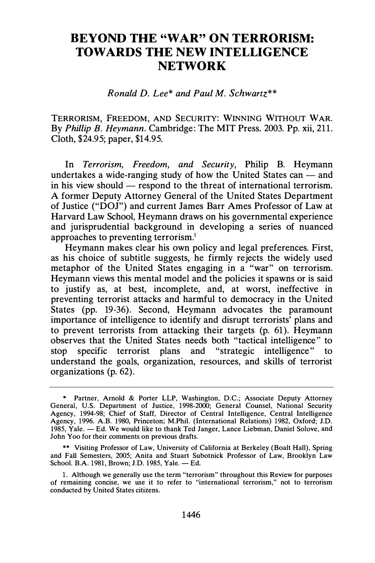# BEYOND THE "WAR" ON TERRORISM: TOWARDS THE NEW INTELLIGENCE NETWORK

Ronald D. Lee\* and Paul M. Schwartz\*\*

TERRORISM, FREEDOM, AND SECURITY: WINNING WITHOUT WAR. By Phillip B. Heymann. Cambridge: The MIT Press. 2003. Pp. xii, 211. Cloth, \$24.95; paper, \$14.95.

In Terrorism, Freedom, and Security, Philip B. Heymann undertakes a wide-ranging study of how the United States can  $-$  and in his view should — respond to the threat of international terrorism. A former Deputy Attorney General of the United States Department of Justice ("DOJ") and current James Barr Ames Professor of Law at Harvard Law School, Heymann draws on his governmental experience and jurisprudential background in developing a series of nuanced approaches to preventing terrorism.<sup>1</sup>

Heymann makes clear his own policy and legal preferences. First, as his choice of subtitle suggests, he firmly rejects the widely used metaphor of the United States engaging in a "war" on terrorism. Heymann views this mental model and the policies it spawns or is said to justify as, at best, incomplete, and, at worst, ineffective in preventing terrorist attacks and harmful to democracy in the United States (pp. 19-36). Second, Heymann advocates the paramount importance of intelligence to identify and disrupt terrorists' plans and to prevent terrorists from attacking their targets (p. 61). Heymann observes that the United States needs both "tactical intelligence" to stop specific terrorist plans and "strategic intelligence" to understand the goals, organization, resources, and skills of terrorist organizations (p. 62).

<sup>\*</sup> Partner, Arnold & Porter LLP, Washington, D.C.; Associate Deputy Attorney General, U.S. Department of Justice, 1998-2000; General Counsel, National Security Agency, 1994-98; Chief of Staff, Director of Central Intelligence, Central Intelligence Agency, 1996. A.B. 1980, Princeton; M.Phil. (International Relations) 1982, Oxford; J.D. 1985, Yale. - Ed. We would like to thank Ted Janger, Lance Liebman, Daniel Solove, and John Yoo for their comments on previous drafts.

<sup>\*\*</sup> Visiting Professor of Law, University of California at Berkeley (Boalt Hall), Spring and Fall Semesters, 2005; Anita and Stuart Subotnick Professor of Law, Brooklyn Law School. B.A. 1981, Brown; J.D. 1985, Yale. - Ed.

<sup>1.</sup> Although we generally use the term "terrorism" throughout this Review for purposes of remaining concise, we use it to refer to "international terrorism," not to terrorism conducted by United States citizens.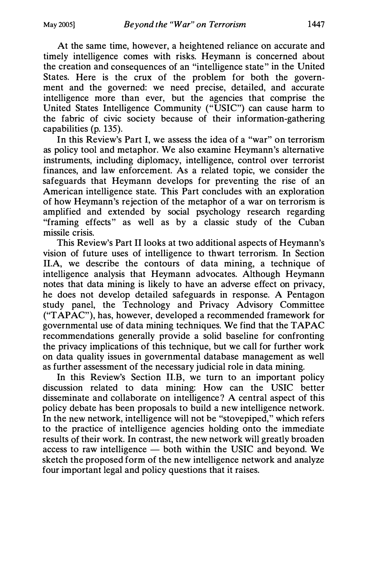At the same time, however, a heightened reliance on accurate and timely intelligence comes with risks. Heymann is concerned about the creation and consequences of an "intelligence state" in the United States. Here is the crux of the problem for both the government and the governed: we need precise, detailed, and accurate intelligence more than ever, but the agencies that comprise the United States Intelligence Community ("USIC") can cause harm to the fabric of civic society because of their information-gathering capabilities (p. 135).

In this Review's Part I, we assess the idea of a "war" on terrorism as policy tool and metaphor. We also examine Heymann's alternative instruments, including diplomacy, intelligence, control over terrorist finances, and law enforcement. As a related topic, we consider the safeguards that Heymann develops for preventing the rise of an American intelligence state. This Part concludes with an exploration of how Heymann's rejection of the metaphor of a war on terrorism is amplified and extended by social psychology research regarding "framing effects" as well as by a classic study of the Cuban missile crisis.

This Review's Part II looks at two additional aspects of Heymann's vision of future uses of intelligence to thwart terrorism. In Section II.A, we describe the contours of data mining, a technique of intelligence analysis that Heymann advocates. Although Heymann notes that data mining is likely to have an adverse effect on privacy, he does not develop detailed safeguards in response. A Pentagon study panel, the Technology and Privacy Advisory Committee ("T APAC"), has, however, developed a recommended framework for governmental use of data mining techniques. We find that the TAPAC recommendations generally provide a solid baseline for confronting the privacy implications of this technique, but we call for further work on data quality issues in governmental database management as well as further assessment of the necessary judicial role in data mining.

In this Review's Section II.B, we turn to an important policy discussion related to data mining: How can the USIC better disseminate and collaborate on intelligence? A central aspect of this policy debate has been proposals to build a new intelligence network. In the new network, intelligence will not be "stovepiped," which refers to the practice of intelligence agencies holding onto the immediate results of their work. In contrast, the new network will greatly broaden access to raw intelligence - both within the USIC and beyond. We sketch the proposed form of the new intelligence network and analyze four important legal and policy questions that it raises.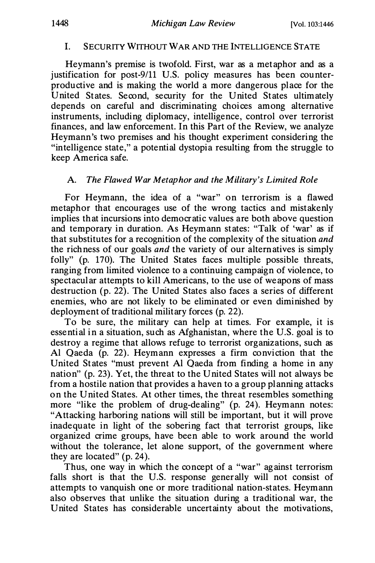#### I. SECURITY WITHOUT WAR AND THE INTELLIGENCE STATE

Heymann's premise is twofold. First, war as a metaphor and as a justification for post-9/11 U.S. policy measures has been counterproductive and is making the world a more dangerous place for the United States. Second, security for the United States ultimately depends on careful and discriminating choices among alternative instruments, including diplomacy, intelligence, control over terrorist finances, and law enforcement. In this Part of the Review, we analyze Heymann's two premises and his thought experiment considering the "intelligence state," a potential dystopia resulting from the struggle to keep America safe.

## A. The Flawed War Metaphor and the Military's Limited Role

For Heymann, the idea of a "war" on terrorism is a flawed metaphor that encourages use of the wrong tactics and mistakenly implies that incursions into democratic values are both above question and temporary in duration. As Heymann states: "Talk of 'war' as if that substitutes for a recognition of the complexity of the situation and the richness of our goals and the variety of our alternatives is simply folly" (p. 170). The United States faces multiple possible threats, ranging from limited violence to a continuing campaign of violence, to spectacular attempts to kill Americans, to the use of weapons of mass destruction (p. 22). The United States also faces a series of different enemies, who are not likely to be eliminated or even diminished by deployment of traditional military forces (p. 22).

To be sure, the military can help at times. For example, it is essential in a situation, such as Afghanistan, where the U.S. goal is to destroy a regime that allows refuge to terrorist organizations, such as Al Qaeda (p. 22). Heymann expresses a firm conviction that the United States "must prevent Al Qaeda from finding a home in any nation" (p. 23). Yet, the threat to the United States will not always be from a hostile nation that provides a haven to a group planning attacks on the United States. At other times, the threat resembles something more "like the problem of drug-dealing" (p. 24). Heymann notes: "Attacking harboring nations will still be important, but it will prove inadequate in light of the sobering fact that terrorist groups, like organized crime groups, have been able to work around the world without the tolerance, let alone support, of the government where they are located" (p. 24).

Thus, one way in which the concept of a "war" against terrorism falls short is that the U.S. response generally will not consist of attempts to vanquish one or more traditional nation-states. Heymann also observes that unlike the situation during a traditional war, the United States has considerable uncertainty about the motivations,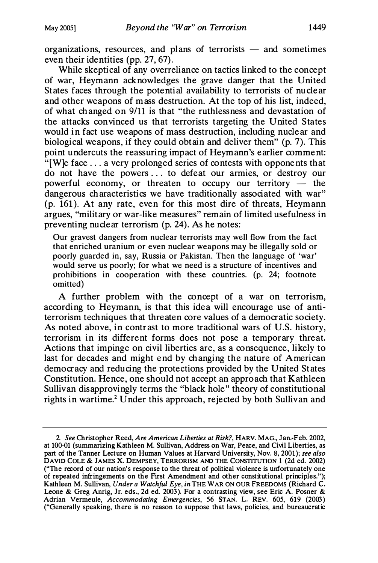$organizations, resources, and plans of terrorists — and sometimes$ even their identities (pp. 27, 67).

While skeptical of any overreliance on tactics linked to the concept of war, Heymann acknowledges the grave danger that the United States faces through the potential availability to terrorists of nuclear and other weapons of mass destruction. At the top of his list, indeed, of what changed on 9/11 is that "the ruthlessness and devastation of the attacks convinced us that terrorists targeting the United States would in fact use weapons of mass destruction, including nuclear and biological weapons, if they could obtain and deliver them" (p. 7). This point undercuts the reassuring impact of Heymann's earlier comment:  $\cdot$ <sup>"</sup>[W]e face ... a very prolonged series of contests with opponents that do not have the powers . . . to defeat our armies, or destroy our powerful economy, or threaten to occupy our territory  $-$  the dangerous characteristics we have traditionally associated with war" (p. 161). At any rate, even for this most dire of threats, Heymann argues, "military or war-like measures" remain of limited usefulness in preventing nuclear terrorism (p. 24). As he notes:

Our gravest dangers from nuclear terrorists may well flow from the fact that enriched uranium or even nuclear weapons may be illegally sold or poorly guarded in, say, Russia or Pakistan. Then the language of 'war' would serve us poorly; for what we need is a structure of incentives and prohibitions in cooperation with these countries. (p. 24; footnote omitted)

A further problem with the concept of a war on terrorism, according to Heymann, is that this idea will encourage use of antiterrorism techniques that threaten core values of a democratic society. As noted above, in contrast to more traditional wars of U.S. history, terrorism in its different forms does not pose a temporary threat. Actions that impinge on civil liberties are, as a consequence, likely to last for decades and might end by changing the nature of American democracy and reducing the protections provided by the United States Constitution. Hence, one should not accept an approach that Kathleen Sullivan disapprovingly terms the "black hole" theory of constitutional rights in wartime.<sup>2</sup> Under this approach, rejected by both Sullivan and

<sup>2.</sup> See Christopher Reed, Are American Liberties at Risk?, HARV. MAG., Jan.-Feb. 2002, at 100-01 (summarizing Kathleen M. Sullivan, Address on War, Peace, and Civil Liberties, as part of the Tanner Lecture on Human Values at Harvard University, Nov. 8, 2001); see also DAVID COLE & JAMES X. DEMPSEY, TERRORISM AND THE CONSTITUTION 1 (2d ed. 2002) ("The record of our nation's response to the threat of political violence is unfortunately one of repeated infringements on the First Amendment and other constitutional principles."); Kathleen M. Sullivan, Under a Watchful Eye, in THE WAR ON OUR FREEDOMS (Richard C. Leone & Greg Anrig, Jr. eds., 2d ed. 2003). For a contrasting view, see Eric A. Posner & Adrian Vermeule, Accommodating Emergencies, 56 STAN. L. REV. 605, 619 (2003) ("Generally speaking, there is no reason to suppose that laws, policies, and bureaucratic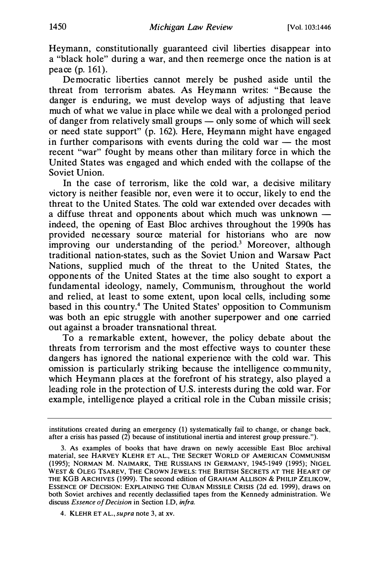Heymann, constitutionally guaranteed civil liberties disappear into a "black hole" during a war, and then reemerge once the nation is at peace (p. 161).

Democratic liberties cannot merely be pushed aside until the threat from terrorism abates. As Heymann writes: "Because the danger is enduring, we must develop ways of adjusting that leave much of what we value in place while we deal with a prolonged period of danger from relatively small groups  $-$  only some of which will seek or need state support" (p. 162). Here, Heymann might have engaged in further comparisons with events during the cold war  $-$  the most recent "war" fought by means other than military force in which the United States was engaged and which ended with the collapse of the Soviet Union.

In the case of terrorism, like the cold war, a decisive military victory is neither feasible nor, even were it to occur, likely to end the threat to the United States. The cold war extended over decades with a diffuse threat and opponents about which much was unknown  $$ indeed, the opening of East Bloc archives throughout the 1990s has provided necessary source material for historians who are now improving our understanding of the period.<sup>3</sup> Moreover, although traditional nation-states, such as the Soviet Union and Warsaw Pact Nations, supplied much of the threat to the United States, the opponents of the United States at the time also sought to export a fundamental ideology, namely, Communism, throughout the world and relied, at least to some extent, upon local cells, including some based in this country.4 The United States' opposition to Communism was both an epic struggle with another superpower and one carried out against a broader transnational threat.

To a remarkable extent, however, the policy debate about the threats from terrorism and the most effective ways to counter these dangers has ignored the national experience with the cold war. This omission is particularly striking because the intelligence community, which Heymann places at the forefront of his strategy, also played a leading role in the protection of U.S. interests during the cold war. For example, intelligence played a critical role in the Cuban missile crisis;

institutions created during an emergency (1) systematically fail to change, or change back, after a crisis has passed (2) because of institutional inertia and interest group pressure.").

<sup>3.</sup> As examples of books that have drawn on newly accessible East Bloc archival material, see HARVEY KLEHR ET AL., THE SECRET WORLD OF AMERICAN COMMUNISM (1995); NORMAN M. NAIMARK, THE RUSSIANS IN GERMANY, 1945-1949 (1995); NIGEL WEST & OLEG TSAREV, THE CROWN JEWELS: THE BRITISH SECRETS AT THE HEART OF THE KGB ARCHIVES (1999). The second edition of GRAHAM ALLISON & PHILIP ZELIKOW, ESSENCE OF DECISION: EXPLAINING THE CUBAN MISSILE CRISIS (2d ed. 1999), draws on both Soviet archives and recently declassified tapes from the Kennedy administration. We discuss Essence of Decision in Section l.D, infra.

<sup>4.</sup> KLEHR ET AL., supra note 3, at xv.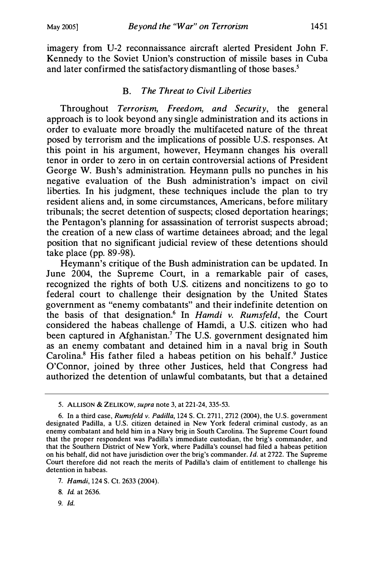imagery from U-2 reconnaissance aircraft alerted President John F. Kennedy to the Soviet Union's construction of missile bases in Cuba and later confirmed the satisfactory dismantling of those bases.<sup>5</sup>

### B. The Threat to Civil Liberties

Throughout Terrorism, Freedom, and Security, the general approach is to look beyond any single administration and its actions in order to evaluate more broadly the multifaceted nature of the threat posed by terrorism and the implications of possible U.S. responses. At this point in his argument, however, Heymann changes his overall tenor in order to zero in on certain controversial actions of President George W. Bush's administration. Heymann pulls no punches in his negative evaluation of the Bush administration's impact on civil liberties. In his judgment, these techniques include the plan to try resident aliens and, in some circumstances, Americans, before military tribunals; the secret detention of suspects; closed deportation hearings; the Pentagon's planning for assassination of terrorist suspects abroad; the creation of a new class of wartime detainees abroad; and the legal position that no significant judicial review of these detentions should take place (pp. 89-98).

Heymann's critique of the Bush administration can be updated. In June 2004, the Supreme Court, in a remarkable pair of cases, recognized the rights of both U.S. citizens and noncitizens to go to federal court to challenge their designation by the United States government as "enemy combatants" and their indefinite detention on the basis of that designation.<sup>6</sup> In Hamdi v. Rumsfeld, the Court considered the habeas challenge of Hamdi, a U.S. citizen who had been captured in Afghanistan.<sup>7</sup> The U.S. government designated him as an enemy combatant and detained him in a naval brig in South Carolina.<sup>8</sup> His father filed a habeas petition on his behalf.<sup>9</sup> Justice O'Connor, joined by three other Justices, held that Congress had authorized the detention of unlawful combatants, but that a detained

- 8. Id. at 2636.
- 9. Id.

<sup>5.</sup> ALLISON & ZELIKOW, supra note 3, at 221-24, 335-53.

<sup>6.</sup> In a third case, Rumsfeld v. Padilla, 124 S. Ct. 2711, 2712 (2004), the U.S. government designated Padilla, a U.S. citizen detained in New York federal criminal custody, as an enemy combatant and held him in a Navy brig in South Carolina. The Supreme Court found that the proper respondent was Padilla's immediate custodian, the brig's commander, and that the Southern District of New York, where Padilla's counsel had filed a habeas petition on his behalf, did not have jurisdiction over the brig's commander. Id. at 2722. The Supreme Court therefore did not reach the merits of Padilla's claim of entitlement to challenge his detention in habeas.

<sup>7.</sup> Hamdi, 124 S. Ct. 2633 (2004).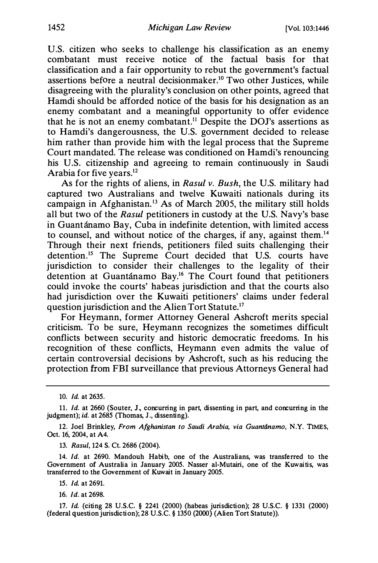U.S. citizen who seeks to challenge his classification as an enemy combatant must receive notice of the factual basis for that classification and a fair opportunity to rebut the government's factual assertions before a neutral decisionmaker.<sup>10</sup> Two other Justices, while disagreeing with the plurality's conclusion on other points, agreed that Hamdi should be afforded notice of the basis for his designation as an enemy combatant and a meaningful opportunity to offer evidence that he is not an enemy combatant.<sup>11</sup> Despite the DOJ's assertions as to Hamdi's dangerousness, the U.S. government decided to release him rather than provide him with the legal process that the Supreme Court mandated. The release was conditioned on Hamdi's renouncing his U.S. citizenship and agreeing to remain continuously in Saudi Arabia for five years.<sup>12</sup>

As for the rights of aliens, in Rasul v. Bush, the U.S. military had captured two Australians and twelve Kuwaiti nationals during its campaign in Afghanistan.<sup>13</sup> As of March 2005, the military still holds all but two of the Rasul petitioners in custody at the U.S. Navy's base in Guantánamo Bay, Cuba in indefinite detention, with limited access to counsel, and without notice of the charges, if any, against them.14 Through their next friends, petitioners filed suits challenging their detention.<sup>15</sup> The Supreme Court decided that U.S. courts have jurisdiction to consider their challenges to the legality of their detention at Guantánamo Bay.<sup>16</sup> The Court found that petitioners could invoke the courts' habeas jurisdiction and that the courts also had jurisdiction over the Kuwaiti petitioners' claims under federal question jurisdiction and the Alien Tort Statute.<sup>17</sup>

For Heymann, former Attorney General Ashcroft merits special criticism. To be sure, Heymann recognizes the sometimes difficult conflicts between security and historic democratic freedoms. In his recognition of these conflicts, Heymann even admits the value of certain controversial decisions by Ashcroft, such as his reducing the protection from FBI surveillance that previous Attorneys General had

13. Rasul, 124 S. Ct. 2686 (2004).

14. Id. at 2690. Mandouh Habib, one of the Australians, was transferred to the Government of Australia in January 2005. Nasser al-Mutairi, one of the Kuwaitis, was transferred to the Government of Kuwait in January 2005.

15. Id. at 2691.

16. Id. at 2698.

17. Id. (citing 28 U.S.C. § 2241 (2000) (habeas jurisdiction); 28 U.S.C. § 1331 (2000) (federal question jurisdiction); 28 U.S.C. § 1350 (2000) (Alien Tort Statute)).

<sup>10.</sup> Id. at 2635.

<sup>11.</sup> Id. at 2660 (Souter, J., concurring in part, dissenting in part, and concurring in the judgment); id. at 2685 (Thomas, J., dissenting).

<sup>12.</sup> Joel Brinkley, From Afghanistan to Saudi Arabia, via Guantdnamo, N.Y. TIMES, Oct. 16, 2004, at A4.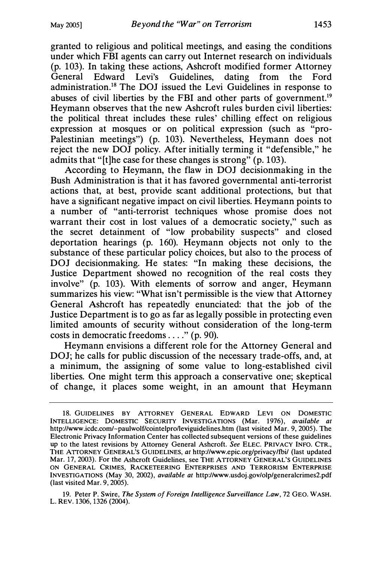granted to religious and political meetings, and easing the conditions under which FBI agents can carry out Internet research on individuals (p. 103). In taking these actions, Ashcroft modified former Attorney General Edward Levi's Guidelines, dating from the Ford administration.18 The DOJ issued the Levi Guidelines in response to abuses of civil liberties by the FBI and other parts of government.<sup>19</sup> Heymann observes that the new Ashcroft rules burden civil liberties: the political threat includes these rules' chilling effect on religious expression at mosques or on political expression (such as "pro-Palestinian meetings") (p. 103). Nevertheless, Heymann does not reject the new DOJ policy. After initially terming it "defensible," he admits that " [t]he case for these changes is strong" (p. 103).

According to Heymann, the flaw in DOJ decisionmaking in the Bush Administration is that it has favored governmental anti-terrorist actions that, at best, provide scant additional protections, but that have a significant negative impact on civil liberties. Heymann points to a number of "anti-terrorist techniques whose promise does not warrant their cost in lost values of a democratic society," such as the secret detainment of "low probability suspects" and closed deportation hearings (p. 160). Heymann objects not only to the substance of these particular policy choices, but also to the process of DOJ decisionmaking. He states: "In making these decisions, the Justice Department showed no recognition of the real costs they involve" (p. 103). With elements of sorrow and anger, Heymann summarizes his view: "What isn't permissible is the view that Attorney General Ashcroft has repeatedly enunciated: that the job of the Justice Department is to go as far as legally possible in protecting even limited amounts of security without consideration of the long-term costs in democratic freedoms .... " (p. 90).

Heymann envisions a different role for the Attorney General and DOJ; he calls for public discussion of the necessary trade-offs, and, at a minimum, the assigning of some value to long-established civil liberties. One might term this approach a conservative one; skeptical of change, it places some weight, in an amount that Heymann

19. Peter P. Swire, The System of Foreign Intelligence Surveillance Law, 72 GEO. WASH. L. REV. 1306, 1326 (2004).

<sup>18.</sup> GUIDELINES BY ATTORNEY GENERAL EDWARD LEVI ON DOMESTIC INTELLIGENCE: DOMESTIC SECURITY INVESTIGATIONS (Mar. 1976), available at http://www.icdc.com/-paulwolf/cointelprolleviguidelines.htm (last visited Mar. 9, 2005). The Electronic Privacy Information Center has collected subsequent versions of these guidelines up to the latest revisions by Attorney General Ashcroft. See ELEC. PRIVACY INFO. CTR., THE ATTORNEY GENERAL'S GUIDELINES, at http://www.epic.org/privacy/fbi/ (last updated Mar. 17, 2003). For the Ashcroft Guidelines, see THE ATTORNEY GENERAL'S GUIDELINES ON GENERAL CRIMES, RACKETEERING ENTERPRISES AND TERRORISM ENTERPRISE INVESTIGATIONS (May 30, 2002), available at http://www.usdoj.gov/olp/generalcrimes2.pdf (last visited Mar. 9, 2005).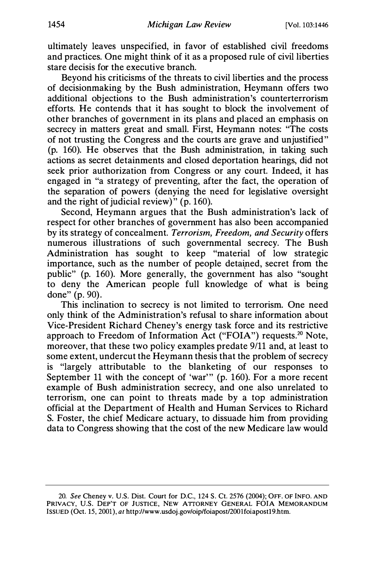ultimately leaves unspecified, in favor of established civil freedoms and practices. One might think of it as a proposed rule of civil liberties stare decisis for the executive branch.

Beyond his criticisms of the threats to civil liberties and the process of decisionmaking by the Bush administration, Heymann offers two additional objections to the Bush administration's counterterrorism efforts. He contends that it has sought to block the involvement of other branches of government in its plans and placed an emphasis on secrecy in matters great and small. First, Heymann notes: "The costs of not trusting the Congress and the courts are grave and unjustified" (p. 160). He observes that the Bush administration, in taking such actions as secret detainments and closed deportation hearings, did not seek prior authorization from Congress or any court. Indeed, it has engaged in "a strategy of preventing, after the fact, the operation of the separation of powers (denying the need for legislative oversight and the right of judicial review)"  $(p, 160)$ .

Second, Heymann argues that the Bush administration's lack of respect for other branches of government has also been accompanied by its strategy of concealment. Terrorism, Freedom, and Security offers numerous illustrations of such governmental secrecy. The Bush Administration has sought to keep "material of low strategic importance, such as the number of people detaiped, secret from the public" (p. 160). More generally, the government has also "sought to deny the American people full knowledge of what is being done" (p. 90).

This inclination to secrecy is not limited to terrorism. One need only think of the Administration's refusal to share information about Vice-President Richard Cheney's energy task force and its restrictive approach to Freedom of Information Act ("FOIA") requests.<sup>20</sup> Note, moreover, that these two policy examples predate 9/11 and, at least to some extent, undercut the Heymann thesis that the problem of secrecy is "largely attributable to the blanketing of our responses to September 11 with the concept of 'war'" (p. 160). For a more recent example of Bush administration secrecy, and one also unrelated to terrorism, one can point to threats made by a top administration official at the Department of Health and Human Services to Richard S. Foster, the chief Medicare actuary, to dissuade him from providing data to Congress showing that the cost of the new Medicare law would

<sup>20.</sup> See Cheney v. U.S. Dist. Court for D.C., 124 S. Ct. 2576 (2004); OFF. OF INFO. AND PRIVACY, U.S. DEP'T OF JUSTICE, NEW ATTORNEY GENERAL FOIA MEMORANDUM ISSUED (Oct. 15, 2001), at http://www.usdoj.gov/oip/foiapost/200lfoiapost19.htm.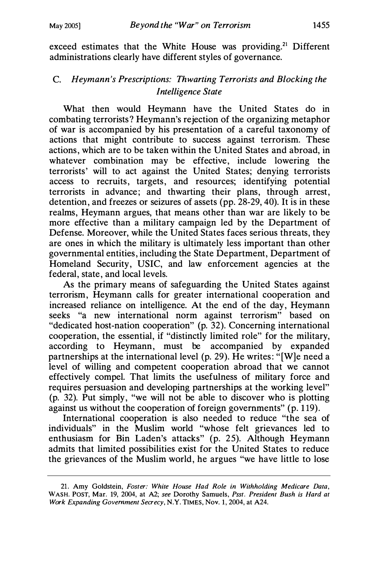exceed estimates that the White House was providing.<sup>21</sup> Different administrations clearly have different styles of governance.

# C. Heymann's Prescriptions: Thwarting Terrorists and Blocking the Intelligence State

What then would Heymann have the United States do in combating terrorists? Heymann's rejection of the organizing metaphor of war is accompanied by his presentation of a careful taxonomy of actions that might contribute to success against terrorism. These actions, which are to be taken within the United States and abroad, in whatever combination may be effective, include lowering the terrorists' will to act against the United States; denying terrorists access to recruits, targets, and resources; identifying potential terrorists in advance; and thwarting their plans, through arrest, detention, and freezes or seizures of assets (pp. 28-29, 40). It is in these realms, Heymann argues, that means other than war are likely to be more effective than a military campaign led by the Department of Defense. Moreover, while the United States faces serious threats, they are ones in which the military is ultimately less important than other governmental entities, including the State Department, Department of Homeland Security, USIC, and law enforcement agencies at the federal, state, and local levels.

As the primary means of safeguarding the United States against terrorism, Heymann calls for greater international cooperation and increased reliance on intelligence. At the end of the day, Heymann seeks "a new international norm against terrorism" based on "dedicated host-nation cooperation" (p. 32). Concerning international cooperation, the essential, if "distinctly limited role" for the military, according to Heymann, must be accompanied by expanded partnerships at the international level (p. 29). He writes: " $[W]e$  need a level of willing and competent cooperation abroad that we cannot effectively compel. That limits the usefulness of military force and requires persuasion and developing partnerships at the working level" (p. 32). Put simply, "we will not be able to discover who is plotting against us without the cooperation of foreign governments" (p. 119).

International cooperation is also needed to reduce "the sea of individuals" in the Muslim world "whose felt grievances led to enthusiasm for Bin Laden's attacks" (p. 25). Although Heymann admits that limited possibilities exist for the United States to reduce the grievances of the Muslim world, he argues "we have little to lose

<sup>21.</sup> Amy Goldstein, Foster: White House Had Role in Withholding Medicare Data, WASH. POST, Mar. 19, 2004, at A2; see Dorothy Samuels, Psst. President Bush is Hard at Work Expanding Government Secrecy, N.Y. TIMES, Nov. 1, 2004, at A24.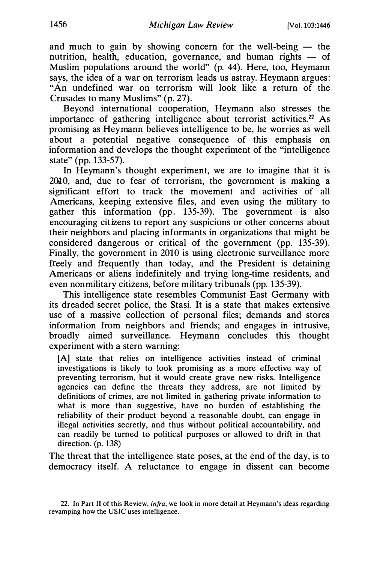and much to gain by showing concern for the well-being  $-$  the nutrition, health, education, governance, and human rights  $-$  of Muslim populations around the world" (p. 44). Here, too, Heymann says, the idea of a war on terrorism leads us astray. Heymann argues: "An undefined war on terrorism will look like a return of the Crusades to many Muslims" (p. 27).

Beyond international cooperation, Heymann also stresses the importance of gathering intelligence about terrorist activities.<sup>22</sup> As promising as Heymann believes intelligence to be, he worries as well about a potential negative consequence of this emphasis on information and develops the thought experiment of the "intelligence state" (pp. 133-57).

In Heymann's thought experiment, we are to imagine that it is 2010, and, due to fear of terrorism, the government is making a significant effort to track the movement and activities of all Americans, keeping extensive files, and even using the military to gather this information (pp. 135-39). The government is also encouraging citizens to report any suspicions or other concerns about their neighbors and placing informants in organizations that might be considered dangerous or critical of the government (pp. 135-39). Finally, the government in 2010 is using electronic surveillance more freely and frequently than today, and the President is detaining Americans or aliens indefinitely and trying long-time residents, and even nonmilitary citizens, before military tribunals (pp. 135-39).

This intelligence state resembles Communist East Germany with its dreaded secret police, the Stasi. It is a state that makes extensive use of a massive collection of personal files; demands and stores information from neighbors and friends; and engages in intrusive, broadly aimed surveillance. Heymann concludes this thought experiment with a stern warning:

[A] state that relies on intelligence activities instead of criminal investigations is likely to look promising as a more effective way of preventing terrorism, but it would create grave new risks. Intelligence agencies can define the threats they address, are not limited by definitions of crimes, are not limited in gathering private information to what is more than suggestive, have no burden of establishing the reliability of their product beyond a reasonable doubt, can engage in illegal activities secretly, and thus without political accountability, and can readily be turned to political purposes or allowed to drift in that direction. (p. 138)

The threat that the intelligence state poses, at the end of the day, is to democracy itself. A reluctance to engage in dissent can become

<sup>22.</sup> In Part II of this Review, infra, we look in more detail at Heymann's ideas regarding revamping how the USIC uses intelligence.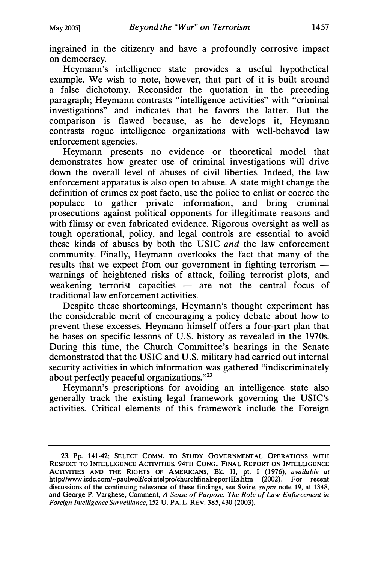ingrained in the citizenry and have a profoundly corrosive impact on democracy.

Heymann's intelligence state provides a useful hypothetical example. We wish to note, however, that part of it is built around a false dichotomy. Reconsider the quotation in the preceding paragraph; Heymann contrasts "intelligence activities" with "criminal investigations" and indicates that he favors the latter. But the comparison is flawed because, as he develops it, Heymann contrasts rogue intelligence organizations with well-behaved law enforcement agencies.

Heymann presents no evidence or theoretical model that demonstrates how greater use of criminal investigations will drive down the overall level of abuses of civil liberties. Indeed, the law enforcement apparatus is also open to abuse. A state might change the definition of crimes ex post facto, use the police to enlist or coerce the populace to gather private information, and bring criminal prosecutions against political opponents for illegitimate reasons and with flimsy or even fabricated evidence. Rigorous oversight as well as tough operational, policy, and legal controls are essential to avoid these kinds of abuses by both the USIC and the law enforcement community. Finally, Heymann overlooks the fact that many of the results that we expect from our government in fighting terrorism  $$ warnings of heightened risks of attack, foiling terrorist plots, and weakening terrorist capacities  $-$  are not the central focus of traditional law enforcement activities.

Despite these shortcomings, Heymann's thought experiment has the considerable merit of encouraging a policy debate about how to prevent these excesses. Heymann himself offers a four-part plan that he bases on specific lessons of U.S. history as revealed in the 1970s. During this time, the Church Committee's hearings in the Senate demonstrated that the USIC and U.S. military had carried out internal security activities in which information was gathered "indiscriminately about perfectly peaceful organizations. "23

Heymann's prescriptions for avoiding an intelligence state also generally track the existing legal framework governing the USIC's activities. Critical elements of this framework include the Foreign

<sup>23.</sup> Pp. 141-42; SELECT COMM. TO STUDY GOVERNMENTAL OPERATIONS WITH RESPECT TO INTELLIGENCE ACTIVITIES, 94TH CONG., FINAL REPORT ON INTELLIGENCE ACTIVITTES AND THE RIGHTS OF AMERICANS, Bk. II, pt. I (1976), available at http://www.icdc.com/-paulwolf/cointelpro/churchfinalreportlla.htm (2002). For recent discussions of the continuing relevance of these findings, see Swire, *supra* note 19, at 1348, and George P. Varghese, Comment, A Sense of Purpose: The Role of Law Enforcement in Foreign Intelligence Surveillance, 152 U. PA. L. REV. 385, 430 (2003).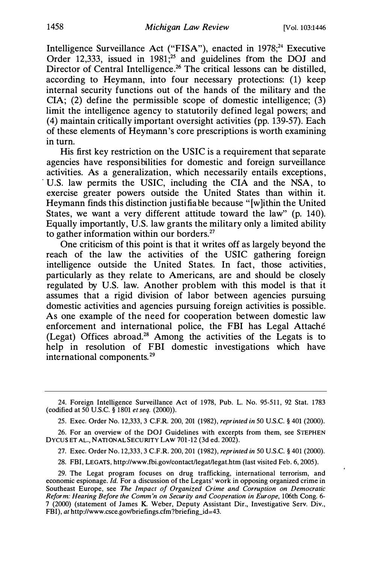$\ddot{\phantom{0}}$ 

Intelligence Surveillance Act ("FISA"), enacted in  $1978$ <sup>24</sup> Executive Order 12,333, issued in  $1981$ <sup>25</sup> and guidelines from the DOJ and Director of Central Intelligence.<sup>26</sup> The critical lessons can be distilled, according to Heymann, into four necessary protections: (1) keep internal security functions out of the hands of the military and the CIA; (2) define the permissible scope of domestic intelligence; (3) limit the intelligence agency to statutorily defined legal powers; and ( 4) maintain critically important oversight activities (pp. 139-57). Each of these elements of Heymann's core prescriptions is worth examining in turn.

His first key restriction on the USIC is a requirement that separate agencies have responsibilities for domestic and foreign surveillance activities. As a generalization, which necessarily entails exceptions, U.S. law permits the USIC, including the CIA and the NSA, to exercise greater powers outside the United States than within it. Heymann finds this distinction justifiable because "[w]ithin the United States, we want a very different attitude toward the law" (p. 140). Equally importantly, U.S. law grants the military only a limited ability to gather information within our borders.<sup>27</sup>

One criticism of this point is that it writes off as largely beyond the reach of the law the activities of the USIC gathering foreign intelligence outside the United States. In fact, those activities, particularly as they relate to Americans, are and should be closely regulated by U.S. law. Another problem with this model is that it assumes that a rigid division of labor between agencies pursuing domestic activities and agencies pursuing foreign activities is possible. As one example of the need for cooperation between domestic law enforcement and international police, the FBI has Legal Attache (Legat) Offices abroad.28 Among the activities of the Legats is to help in resolution of FBI domestic investigations which have international components. 29

28. FBI, LEGATS, http://www.fbi.gov/contact/legat/legat.htm (last visited Feb. 6, 2005).

<sup>24.</sup> Foreign Intelligence Surveillance Act of 1978, Pub. L. No. 95-511, 92 Stat. 1783 (codified at 50 U.S.C.  $\S$  1801 *et seq.* (2000)).

<sup>25.</sup> Exec. Order No. 12,333, 3 C.F.R. 200, 201 (1982), reprinted in 50 U.S.C. § 401 (2000).

<sup>26.</sup> For an overview of the DOJ Guidelines with excerpts from them, see STEPHEN DYCUS ET AL., NATIONAL SECURITY LAW 701-12 (3d ed. 2002).

<sup>27.</sup> Exec. Order No. 12,333, 3 C.F.R. 200, 201 (1982), reprinted in 50 U.S.C. § 401 (2000).

<sup>29.</sup> The Legat program focuses on drug trafficking, international terrorism, and economic espionage. Id. For a discussion of the Legats' work in opposing organized crime in Southeast Europe, see The Impact of Organized Crime and Corruption on Democratic Reform: Hearing Before the Comm'n on Security and Cooperation in Europe, 106th Cong. 6- 7 (2000) (statement of James K. Weber, Deputy Assistant Dir., Investigative Serv. Div., FBI), at http://www.csce.gov/briefings.cfm?briefing\_id=43.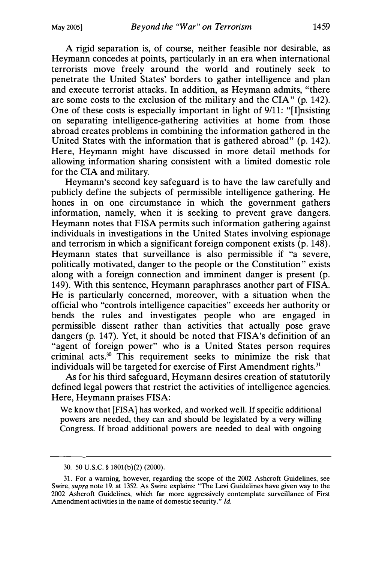A rigid separation is, of course, neither feasible nor desirable, as Heymann concedes at points, particularly in an era when international terrorists move freely around the world and routinely seek to penetrate the United States' borders to gather intelligence and plan and execute terrorist attacks. In addition, as Heymann admits, "there are some costs to the exclusion of the military and the CIA" (p. 142). One of these costs is especially important in light of 9/11: "[I]nsisting on separating intelligence-gathering activities at home from those abroad creates problems in combining the information gathered in the United States with the information that is gathered abroad" (p. 142). Here, Heymann might have discussed in more detail methods for allowing information sharing consistent with a limited domestic role for the CIA and military.

Heymann's second key safeguard is to have the law carefully and publicly define the subjects of permissible intelligence gathering. He hones in on one circumstance in which the government gathers information, namely, when it is seeking to prevent grave dangers. Heymann notes that FISA permits such information gathering against individuals in investigations in the United States involving espionage and terrorism in which a significant foreign component exists (p. 148). Heymann states that surveillance is also permissible if "a severe, politically motivated, danger to the people or the Constitution" exists along with a foreign connection and imminent danger is present (p. 149). With this sentence, Heymann paraphrases another part of FISA. He is particularly concerned, moreover, with a situation when the official who "controls intelligence capacities" exceeds her authority or bends the rules and investigates people who are engaged in permissible dissent rather than activities that actually pose grave dangers (p. 147). Yet, it should be noted that FISA's definition of an "agent of foreign power" who is a United States person requires criminal acts. 30 This requirement seeks to minimize the risk that individuals will be targeted for exercise of First Amendment rights.<sup>31</sup>

As for his third safeguard, Heymann desires creation of statutorily defined legal powers that restrict the activities of intelligence agencies. Here, Heymann praises FISA:

We know that [FISA] has worked, and worked well. If specific additional powers are needed, they can and should be legislated by a very willing Congress. If broad additional powers are needed to deal with ongoing

<sup>30. 50</sup> u.s.c. § 1801(b)(2) (2000).

<sup>31.</sup> For a warning, however, regarding the scope of the 2002 Ashcroft Guidelines, see Swire, supra note 19, at 1352. As Swire explains: "The Levi Guidelines have given way to the 2002 Ashcroft Guidelines, which far more aggressively contemplate surveillance of First Amendment activities in the name of domestic security." Id.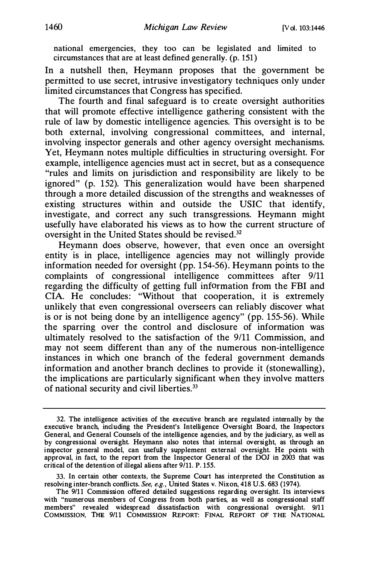national emergencies, they too can be legislated and limited to circumstances that are at least defined generally. (p. 151)

In a nutshell then, Heymann proposes that the government be permitted to use secret, intrusive investigatory techniques only under limited circumstances that Congress has specified.

The fourth and final safeguard is to create oversight authorities that will promote effective intelligence gathering consistent with the rule of law by domestic intelligence agencies. This oversight is to be both external, involving congressional committees, and internal, involving inspector generals and other agency oversight mechanisms. Yet, Heymann notes multiple difficulties in structuring oversight. For example, intelligence agencies must act in secret, but as a consequence "rules and limits on jurisdiction and responsibility are likely to be ignored" (p. 152). This generalization would have been sharpened through a more detailed discussion of the strengths and weaknesses of existing structures within and outside the USIC that identify, investigate, and correct any such transgressions. Heymann might usefully have elaborated his views as to how the current structure of oversight in the United States should be revised.<sup>32</sup>

Heymann does observe, however, that even once an oversight entity is in place, intelligence agencies may not willingly provide information needed for oversight (pp. 154-56). Heymann points to the complaints of congressional intelligence committees after 9/11 regarding the difficulty of getting full information from the FBI and CIA. He concludes: "Without that cooperation, it is extremely unlikely that even congressional overseers can reliably discover what is or is not being done by an intelligence agency" (pp. 155-56). While the sparring over the control and disclosure of information was ultimately resolved to the satisfaction of the 9/11 Commission, and may not seem different than any of the numerous non-intelligence instances in which one branch of the federal government demands information and another branch declines to provide it (stonewalling), the implications are particularly significant when they involve matters of national security and civil liberties.<sup>33</sup>

<sup>32.</sup> The intelligence activities of the executive branch are regulated internally by the executive branch, including the President's Intelligence Oversight Board, the Inspectors General, and General Counsels of the intelligence agencies, and by the judiciary, as well as by congressional oversight. Heymann also notes that internal oversight, as through an inspector general model, can usefully supplement external oversight. He points with approval, in fact, to the report from the Inspector General of the DOJ in 2003 that was critical of the detention of illegal aliens after 9/11. P. 155.

<sup>33.</sup> In certain other contexts, the Supreme Court has interpreted the Constitution as resolving inter-branch conflicts. See, e.g. , United States v. Nixon, 418 U.S. 683 (1974).

The 9/11 Commission offered detailed suggestions regarding oversight. Its interviews with "numerous members of Congress from both parties, as well as congressional staff members" revealed widespread dissatisfaction with congressional oversight. 9/11 COMMISSION, THE 9/11 COMMISSION REPORT: FINAL REPORT OF THE NATIONAL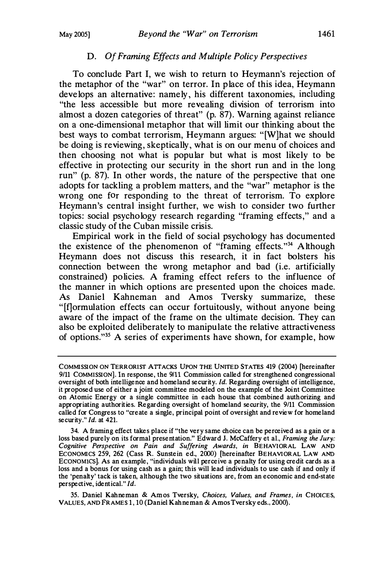#### D. Of Framing Effects and Multiple Policy Perspectives

To conclude Part I, we wish to return to Heymann's rejection of the metaphor of the "war" on terror. In place of this idea, Heymann develops an alternative: namely, his different taxonomies, including "the less accessible but more revealing division of terrorism into almost a dozen categories of threat"  $(p, 87)$ . Warning against reliance on a one-dimensional metaphor that will limit our thinking about the best ways to combat terrorism, Heymann argues: "[WJhat we should be doing is reviewing, skeptically, what is on our menu of choices and then choosing not what is popular but what is most likely to be effective in protecting our security in the short run and in the long run" (p. 87). In other words, the nature of the perspective that one adopts for tackling a problem matters, and the "war" metaphor is the wrong one for responding to the threat of terrorism. To explore Heymann's central insight further, we wish to consider two further topics: social psychology research regarding "framing effects," and a classic study of the Cuban missile crisis.

Empirical work in the field of social psychology has documented the existence of the phenomenon of "framing effects."<sup>34</sup> Although Heymann does not discuss this research, it in fact bolsters his connection between the wrong metaphor and bad (i.e. artificially constrained) policies. A framing effect refers to the influence of the manner in which options are presented upon the choices made. As Daniel Kahneman and Amos Tversky summarize, these " [f]ormulation effects can occur fortuitously, without anyone being aware of the impact of the frame on the ultimate decision. They can also be exploited deliberately to manipulate the relative attractiveness of options. "35 A series of experiments have shown, for example, how

35. Daniel Kahneman & Amos Tversky, Choices, Values, and Frames, in CHOICES, v ALVES, AND FRAMES 1, 10 (Daniel Kahneman & Amos Tversky eds., 2000).

COMMISSION ON TERRORIST ATTACKS UPON THE UNITED STATES 419 (2004) [hereinafter 9/11 COMMISSION). In response, the 9/11 Commission called for strengthened congressional oversight of both intelligence and homeland security. Id. Regarding oversight of intelligence, it proposed use of either a joint committee modeled on the example of the Joint Committee on Atomic Energy or a single committee in each house that combined authorizing and appropriating authorities. Regarding oversight of homeland security, the 9/11 Commission called for Congress to "create a single, principal point of oversight and review for homeland security." *Id.* at 421.

<sup>34.</sup> A framing effect takes place if "the very same choice can be perceived as a gain or a loss based purely on its formal presentation." Edward J. McCaffery et al., Framing the Jury: Cognitive Perspective on Pain and Suffering Awards, in BEHAVIORAL LAW AND ECONOMICS 259, 262 (Cass R. Sunstein ed., 2000) [hereinafter BEHAVIORAL LAW AND ECONOMICS]. As an example, "individuals will perceive a penalty for using credit cards as a loss and a bonus for using cash as a gain; this will lead individuals to use cash if and only if the 'penalty' tack is taken, although the two situations are, from an economic and end-state perspective, identical." Id.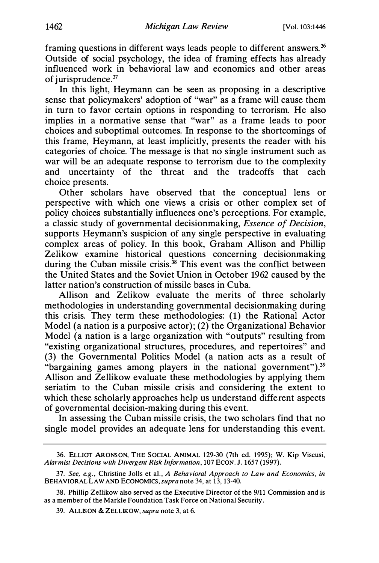framing questions in different ways leads people to different answers. 36 Outside of social psychology, the idea of framing effects has already influenced work in behavioral law and economics and other areas of jurisprudence.<sup>37</sup>

In this light, Heymann can be seen as proposing in a descriptive sense that policymakers' adoption of "war" as a frame will cause them in turn to favor certain options in responding to terrorism. He also implies in a normative sense that "war" as a frame leads to poor choices and suboptimal outcomes. In response to the shortcomings of this frame, Heymann, at least implicitly, presents the reader with his categories of choice. The message is that no single instrument such as war will be an adequate response to terrorism due to the complexity and uncertainty of the threat and the tradeoffs that each choice presents.

Other scholars have observed that the conceptual lens or perspective with which one views a crisis or other complex set of policy choices substantially influences one's perceptions. For example, a classic study of governmental decisionmaking, Essence of Decision, supports Heymann's suspicion of any single perspective in evaluating complex areas of policy. In this book, Graham Allison and Phillip Zelikow examine historical questions concerning decisionmaking during the Cuban missile crisis.<sup>38</sup> This event was the conflict between the United States and the Soviet Union in October 1962 caused by the latter nation's construction of missile bases in Cuba.

Allison and Zelikow evaluate the merits of three scholarly methodologies in understanding governmental decisionmaking during this crisis. They term these methodologies: (1) the Rational Actor Model (a nation is a purposive actor); (2) the Organizational Behavior Model (a nation is a large organization with "outputs" resulting from "existing organizational structures, procedures, and repertoires" and (3) the Governmental Politics Model (a nation acts as a result of "bargaining games among players in the national government").<sup>39</sup> Allison and Zellikow evaluate these methodologies by applying them seriatim to the Cuban missile crisis and considering the extent to which these scholarly approaches help us understand different aspects of governmental decision-making during this event.

In assessing the Cuban missile crisis, the two scholars find that no single model provides an adequate lens for understanding this event.

<sup>36.</sup> ELLIOT ARONSON, THE SOCIAL ANIMAL 129-30 (7th ed. 1995); w. Kip Viscusi, Alarmist Decisions with Divergent Risk Information, 107 ECON. J. 1657 (1997).

<sup>37.</sup> See, e.g., Christine Jolls et al., A Behavioral Approach to Law and Economics, in BEHAVIORAL LAW AND ECONOMICS, supra note 34, at 13, 13-40.

<sup>38.</sup> Phillip Zellikow also served as the Executive Director of the 9/11 Commission and is as a member of the Markle Foundation Task Force on National Security.

<sup>39.</sup> ALLISON & ZELLIKOW, supra note 3, at 6.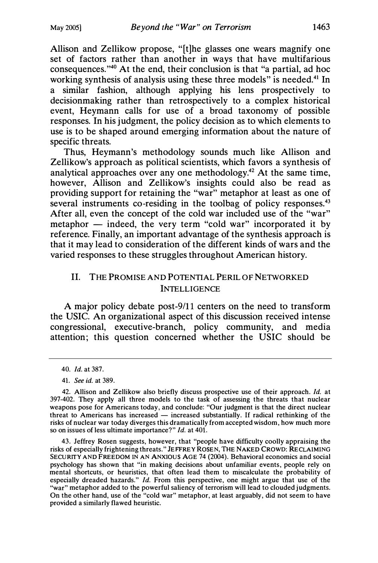Allison and Zellikow propose, "[t]he glasses one wears magnify one set of factors rather than another in ways that have multifarious consequences."40 At the end, their conclusion is that "a partial, ad hoc working synthesis of analysis using these three models" is needed.<sup>41</sup> In a similar fashion, although applying his lens prospectively to decisionmaking rather than retrospectively to a complex historical event, Heymann calls for use of a broad taxonomy of possible responses. In his judgment, the policy decision as to which elements to use is to be shaped around emerging information about the nature of specific threats.

Thus, Heymann's methodology sounds much like Allison and Zellikow's approach as political scientists, which favors a synthesis of analytical approaches over any one methodology.<sup>42</sup> At the same time, however, Allison and Zellikow's insights could also be read as providing support for retaining the "war" metaphor at least as one of several instruments co-residing in the toolbag of policy responses.<sup>43</sup> After all, even the concept of the cold war included use of the "war" metaphor - indeed, the very term "cold war" incorporated it by reference. Finally, an important advantage of the synthesis approach is that it may lead to consideration of the different kinds of wars and the varied responses to these struggles throughout American history.

# II. THE PROMISE AND POTENTIAL PERIL OF NETWORKED **INTELLIGENCE**

A major policy debate post-9/11 centers on the need to transform the USIC. An organizational aspect of this discussion received intense congressional, executive-branch, policy community, and media attention; this question concerned whether the USIC should be

43. Jeffrey Rosen suggests, however, that "people have difficulty coolly appraising the risks of especially frightening threats." JEFFREY ROSEN, THE NAKED CROWD: RECLAIMING SECURITY AND FREEDOM IN AN ANXIOUS AGE 74 (2004). Behavioral economics and social psychology has shown that "in making decisions about unfamiliar events, people rely on mental shortcuts, or heuristics, that often lead them to miscalculate the probability of especially dreaded hazards." Id. From this perspective, one might argue that use of the "war" metaphor added to the powerful saliency of terrorism will lead to clouded judgments. On the other hand, use of the "cold war" metaphor, at least arguably, did not seem to have provided a similarly flawed heuristic.

<sup>40.</sup> Id. at 387.

<sup>41.</sup> See id. at 389.

<sup>42.</sup> Allison and Zellikow also briefly discuss prospective use of their approach. Id. at 397-402. They apply all three models to the task of assessing the threats that nuclear weapons pose for Americans today, and conclude: "Our judgment is that the direct nuclear threat to Americans has increased  $-$  increased substantially. If radical rethinking of the risks of nuclear war today diverges this dramatically from accepted wisdom, how much more so on issues of less ultimate importance?" Id. at 401.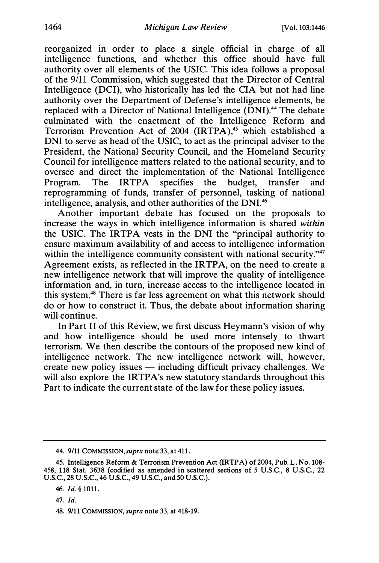reorganized in order to place a single official in charge of all intelligence functions, and whether this office should have full authority over all elements of the USIC. This idea follows a proposal of the 9/11 Commission, which suggested that the Director of Central Intelligence (DCI), who historically has led the CIA but not had line authority over the Department of Defense's intelligence elements, be replaced with a Director of National Intelligence (DNI).<sup>44</sup> The debate culminated with the enactment of the Intelligence Reform and Terrorism Prevention Act of 2004 (IRTPA),<sup>45</sup> which established a DNI to serve as head of the USIC, to act as the principal adviser to the President, the National Security Council, and the Homeland Security Council for intelligence matters related to the national security, and to oversee and direct the implementation of the National Intelligence<br>Program. The IRTPA specifies the budget, transfer and Program. The IRTPA specifies the budget, transfer and reprogramming of funds, transfer of personnel, tasking of national intelligence, analysis, and other authorities of the DNl.46

Another important debate has focused on the proposals to increase the ways in which intelligence information is shared within the USIC. The IRTPA vests in the DNI the "principal authority to ensure maximum availability of and access to intelligence information within the intelligence community consistent with national security."<sup>47</sup> Agreement exists, as reflected in the IRTPA, on the need to create a new intelligence network that will improve the quality of intelligence information and, in turn, increase access to the intelligence located in this system.48 There is far less agreement on what this network should do or how to construct it. Thus, the debate about information sharing will continue.

In Part II of this Review, we first discuss Heymann's vision of why and how intelligence should be used more intensely to thwart terrorism. We then describe the contours of the proposed new kind of intelligence network. The new intelligence network will, however,  $c$ reate new policy issues  $-$  including difficult privacy challenges. We will also explore the IRTPA's new statutory standards throughout this Part to indicate the current state of the law for these policy issues.

<sup>44. 9/11</sup> COMMISSION, supra note 33, at 411.

<sup>45.</sup> Intelligence Reform & Terrorism Prevention Act (IRTPA) of 2004, Pub. L. No. 108- 458, 1 18 Stat. 3638 (codified as amended in scattered sections of 5 U.S.C., 8 U.S.C., 22 U.S.C., 28 U.S.C., 46 U.S.C., 49 U.S.C., and 50 U.S.C.).

<sup>46.</sup> Id. § 1011.

<sup>47.</sup> Id.

<sup>48. 9/11</sup> COMMISSION, supra note 33, at 418-19.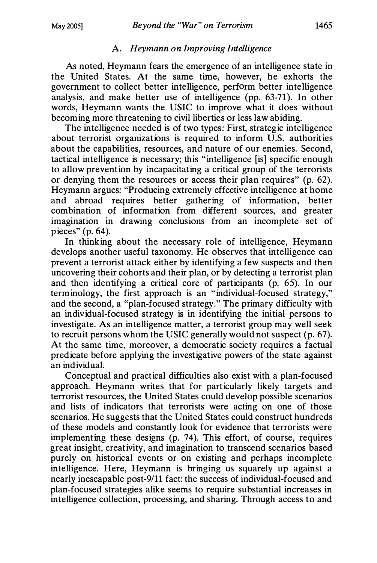# A. Heymann on Improving Intelligence

As noted, Heymann fears the emergence of an intelligence state in the United States. At the same time, however, he exhorts the government to collect better intelligence, perform better intelligence analysis, and make better use of intelligence (pp. 63-71). In other words, Heymann wants the USIC to improve what it does without becoming more threatening to civil liberties or less law abiding.

The intelligence needed is of two types: First, strategic intelligence about terrorist organizations is required to inform U.S. authorities about the capabilities, resources, and nature of our enemies. Second, tactical intelligence is necessary; this "intelligence [is] specific enough to allow prevention by incapacitating a critical group of the terrorists or denying them the resources or access their plan requires" (p. 62). Heymann argues: "Producing extremely effective intelligence at home and abroad requires better gathering of information, better combination of information from different sources, and greater imagination in drawing conclusions from an incomplete set of pieces" (p. 64).

In thinking about the necessary role of intelligence, Heymann develops another useful taxonomy. He observes that intelligence can prevent a terrorist attack either by identifying a few suspects and then uncovering their cohorts and their plan, or by detecting a terrorist plan and then identifying a critical core of participants (p. 65). In our terminology, the first approach is an "individual-focused strategy," and the second, a "plan-focused strategy." The primary difficulty with an individual-focused strategy is in identifying the initial persons to investigate. As an intelligence matter, a terrorist group may well seek to recruit persons whom the USIC generally would not suspect (p. 67). At the same time, moreover, a democratic society requires a factual predicate before applying the investigative powers of the state against an individual.

Conceptual and practical difficulties also exist with a plan-focused approach. Heymann writes that for particularly likely targets and terrorist resources, the United States could develop possible scenarios and lists of indicators that terrorists were acting on one of those scenarios. He suggests that the United States could construct hundreds of these models and constantly look for evidence that terrorists were implementing these designs (p. 74). This effort, of course, requires great insight, creativity, and imagination to transcend scenarios based purely on historical events or on existing and perhaps incomplete intelligence. Here, Heymann is bringing us squarely up against a nearly inescapable post-9/11 fact: the success of individual-focused and plan-focused strategies alike seems to require substantial increases in intelligence collection, processing, and sharing. Through access to and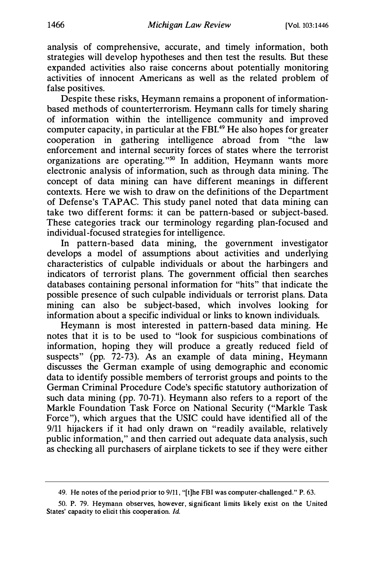analysis of comprehensive, accurate, and timely information, both strategies will develop hypotheses and then test the results. But these expanded activities also raise concerns about potentially monitoring activities of innocent Americans as well as the related problem of false positives.

Despite these risks, Heymann remains a proponent of informationbased methods of counterterrorism. Heymann calls for timely sharing of information within the intelligence community and improved computer capacity, in particular at the FBI.<sup>49</sup> He also hopes for greater cooperation in gathering intelligence abroad from "the law enforcement and internal security forces of states where the terrorist organizations are operating."<sup>50</sup> In addition, Heymann wants more electronic analysis of information, such as through data mining. The concept of data mining can have different meanings in different contexts. Here we wish to draw on the definitions of the Department of Defense's TAPAC. This study panel noted that data mining can take two different forms: it can be pattern-based or subject-based. These categories track our terminology regarding plan-focused and individual-focused strategies for intelligence.

In pattern-based data mining, the government investigator develops a model of assumptions about activities and underlying characteristics of culpable individuals or about the harbingers and indicators of terrorist plans. The government official then searches databases containing personal information for "hits" that indicate the possible presence of such culpable individuals or terrorist plans. Data mining can also be subject-based, which involves looking for information about a specific individual or links to known individuals.

Heymann is most interested in pattern-based data mining. He notes that it is to be used to "look for suspicious combinations of information, hoping they will produce a greatly reduced field of suspects" (pp. 72-73). As an example of data mining, Heymann discusses the German example of using demographic and economic data to identify possible members of terrorist groups and points to the German Criminal Procedure Code's specific statutory authorization of such data mining (pp. 70-71). Heymann also refers to a report of the Markle Foundation Task Force on National Security ("Markle Task Force"), which argues that the USIC could have identified all of the 9/11 hijackers if it had only drawn on "readily available, relatively public information,'' and then carried out adequate data analysis, such as checking all purchasers of airplane tickets to see if they were either

<sup>49.</sup> He notes of the period prior to 9/11, "(t]he FBI was computer-challenged." P. 63.

<sup>50.</sup> P. 79. Heymann observes, however, significant limits likely exist on the United States' capacity to elicit this cooperation. Id.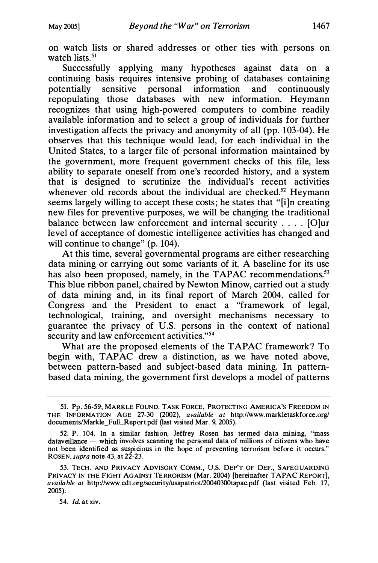on watch lists or shared addresses or other ties with persons on watch lists. $51$ 

Successfully applying many hypotheses against data on a continuing basis requires intensive probing of databases containing potentially sensitive personal information and continuously repopulating those databases with new information. Heymann recognizes that using high-powered computers to combine readily available information and to select a group of individuals for further investigation affects the privacy and anonymity of all (pp. 103-04). He observes that this technique would lead, for each individual in the United States, to a larger file of personal information maintained by the government, more frequent government checks of this file, less ability to separate oneself from one's recorded history, and a system that is designed to scrutinize the individual's recent activities whenever old records about the individual are checked.<sup>52</sup> Heymann seems largely willing to accept these costs; he states that " [i]n creating new files for preventive purposes, we will be changing the traditional balance between law enforcement and internal security .... [O]ur level of acceptance of domestic intelligence activities has changed and will continue to change" (p. 104).

At this time, several governmental programs are either researching data mining or carrying out some variants of it. A baseline for its use has also been proposed, namely, in the TAPAC recommendations.<sup>53</sup> This blue ribbon panel, chaired by Newton Minow, carried out a study of data mining and, in its final report of March 2004, called for Congress and the President to enact a "framework of legal, technological, training, and oversight mechanisms necessary to guarantee the privacy of U.S. persons in the context of national security and law enforcement activities."<sup>54</sup>

What are the proposed elements of the TAPAC framework? To begin with, TAPAC drew a distinction, as we have noted above, between pattern-based and subject-based data mining. In patternbased data mining, the government first develops a model of patterns

54. Id. at xiv.

<sup>51.</sup> Pp. 56-59; MARKLE FOUND. TASK FORCE, PROTECTING AMERICA'S FREEDOM IN THE INFORMATION AGE 27-30 (2002), available at http://www.markletaskforce.org/ documents/Markle\_Full\_Report.pdf (last visited Mar. 9, 2005).

<sup>52.</sup> P. 104. In a similar fashion, Jeffrey Rosen has termed data mining, "mass dataveillance  $-$  which involves scanning the personal data of millions of citizens who have not been identified as suspicious in the hope of preventing terrorism before it occurs." ROSEN, supra note 43, at 22-23.

<sup>53.</sup> TECH. AND PRIVACY ADVISORY COMM., U.S. DEP'T OF DEF., SAFEGUARDING PRIVACY IN THE FIGHT AGAINST TERRORISM (Mar. 2004) [hereinafter TAPAC REPORT], available at http://www.cdt.org/security/usapatriot/20040300tapac.pdf (last visited Feb. 17, 2005).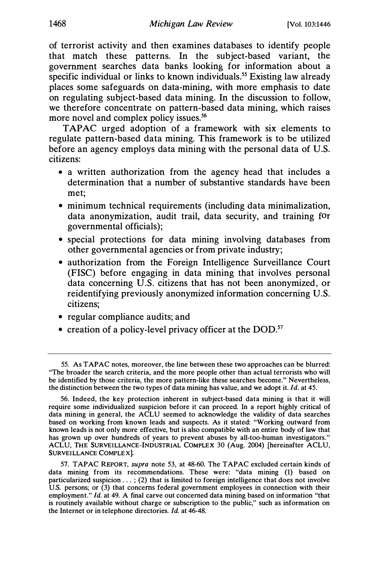of terrorist activity and then examines databases to identify people that match these patterns. In the subject-based variant, the government searches data banks looking for information about a specific individual or links to known individuals.<sup>55</sup> Existing law already places some safeguards on data-mining, with more emphasis to date on regulating subject-based data mining. In the discussion to follow, we therefore concentrate on pattern-based data mining, which raises more novel and complex policy issues.<sup>56</sup>

TAPAC urged adoption of a framework with six elements to regulate pattern-based data mining. This framework is to be utilized before an agency employs data mining with the personal data of U.S. citizens:

- a written authorization from the agency head that includes a determination that a number of substantive standards have been met;
- minimum technical requirements (including data minimalization, data anonymization, audit trail, data security, and training for governmental officials);
- special protections for data mining involving databases from other governmental agencies or from private industry;
- authorization from the Foreign Intelligence Surveillance Court (FISC) before engaging in data mining that involves personal data concerning U.S. citizens that has not been anonymized, or reidentifying previously anonymized information concerning U.S. citizens;
- regular compliance audits; and
- creation of a policy-level privacy officer at the  $DOD$ .<sup>57</sup>

<sup>55.</sup> As TAPAC notes, moreover, the line between these two approaches can be blurred: "The broader the search criteria, and the more people other than actual terrorists who will be identified by those criteria, the more pattern-like these searches become." Nevertheless, the distinction between the two types of data mining has value, and we adopt it. Id. at 45.

<sup>56.</sup> Indeed, the key protection inherent in subject-based data mining is that it will require some individualized suspicion before it can proceed. In a report highly critical of data mining in general, the ACLU seemed to acknowledge the validity of data searches based on working from known leads and suspects. As it stated: "Working outward from known leads is not only more effective, but is also compatible with an entire body of law that has grown up over hundreds of years to prevent abuses by all-too-human investigators." ACLU, THE SURVEILLANCE-INDUSTRIAL COMPLEX 30 (Aug. 2004) [hereinafter ACLU, SURVEILLANCE COMPLEX].

<sup>57.</sup> TAPAC REPORT, supra note 53, at 48-60. The TAPAC excluded certain kinds of data mining from its recommendations. These were: "data mining (1) based on particularized suspicion ... ; (2) that is limited to foreign intelligence that does not involve U.S. persons; or (3) that concerns federal government employees in connection with their employment." *Id.* at 49. A final carve out concerned data mining based on information "that is routinely available without charge or subscription to the public," such as information on the Internet or in telephone directories. Id. at 46-48.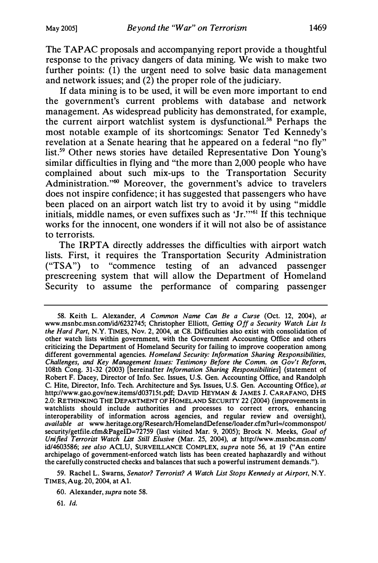The TAPAC proposals and accompanying report provide a thoughtful response to the privacy dangers of data mining. We wish to make two further points: (1) the urgent need to solve basic data management and network issues; and (2) the proper role of the judiciary.

If data mining is to be used, it will be even more important to end the government's current problems with database and network management. As widespread publicity has demonstrated, for example, the current airport watchlist system is dysfunctional.<sup>58</sup> Perhaps the most notable example of its shortcomings: Senator Ted Kennedy's revelation at a Senate hearing that he appeared on a federal "no fly" list.<sup>59</sup> Other news stories have detailed Representative Don Young's similar difficulties in flying and "the more than 2,000 people who have complained about such mix-ups to the Transportation Security Administration."60 Moreover, the government's advice to travelers does not inspire confidence; it has suggested that passengers who have been placed on an airport watch list try to avoid it by using "middle initials, middle names, or even suffixes such as 'Jr."<sup>61</sup> If this technique works for the innocent, one wonders if it will not also be of assistance to terrorists.

The IRPTA directly addresses the difficulties with airport watch lists. First, it requires the Transportation Security Administration ("TSA") to "commence testing of an advanced passenger prescreening system that will allow the Department of Homeland Security to assume the performance of comparing passenger

59. Rachel L. Swarns, Senator? Terrorist? A Watch List Stops Kennedy at Airport, N.Y. TIMES, Aug. 20, 2004, at Al.

61. Id.

www.msnbc.msn.com/id/6232745; Christopher Elliott, Getting Off a Security Watch List Is 58. Keith L. Alexander, A Common Name Can Be a Curse (Oct. 12, 2004), at the Hard Part, N.Y. TIMES, Nov. 2, 2004, at CS. Difficulties also exist with consolidation of other watch lists within government, with the Government Accounting Office and others criticizing the Department of Homeland Security for failing to improve cooperation among different governmental agencies. Homeland Security: Information Sharing Responsibilities, Challenges, and Key Management Issues: Testimony Before the Comm. on Gov't Reform, 108th Cong. 31-32 (2003) [hereinafter Information Sharing Responsibilities] (statement of Robert F. Dacey, Director of Info. Sec. Issues, U.S. Gen. Accounting Office, and Randolph C. Hite, Director, Info. Tech. Architecture and Sys. Issues, U.S. Gen. Accounting Office), at http://www.gao.gov/new.items/d03715t.pdf; DAVID HEYMAN & JAMES J. CARAFANO, DHS 2.0: RETHINKING THE DEPARTMENT OF HOMELAND SECURITY 22 (2004) (improvements in watchlists should include authorities and processes to correct errors, enhancing interoperability of information across agencies, and regular review and oversight), available at www.heritage.org/Research/HomelandDefense/loader .cfm ?url=/commonspot/ security/getfile.cfm&PageID=72759 (last visited Mar. 9, 2005); Brock N. Meeks, Goal of Unified Terrorist Watch List Still Elusive (Mar. 25, 2004), at http://www.msnbc.msn.com/ id/4603586; see also ACLU, SURVEILLANCE COMPLEX, supra note 56, at 19 ("An entire archipelago of government-enforced watch lists has been created haphazardly and without the carefully constructed checks and balances that such a powerful instrument demands.").

<sup>60.</sup> Alexander, supra note 58.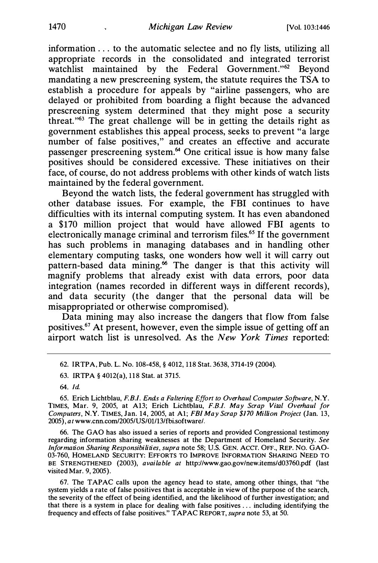information ... to the automatic selectee and no fly lists, utilizing all appropriate records in the consolidated and integrated terrorist watchlist maintained by the Federal Government."<sup>62</sup> Beyond mandating a new prescreening system, the statute requires the TSA to establish a procedure for appeals by "airline passengers, who are delayed or prohibited from boarding a flight because the advanced prescreening system determined that they might pose a security threat. "63 The great challenge will be in getting the details right as government establishes this appeal process, seeks to prevent "a large number of false positives," and creates an effective and accurate passenger prescreening system. $64$  One critical issue is how many false positives should be considered excessive. These initiatives on their face, of course, do not address problems with other kinds of watch lists maintained by the federal government.

Beyond the watch lists, the federal government has struggled with other database issues. For example, the FBI continues to have difficulties with its internal computing system. It has even abandoned a \$170 million project that would have allowed FBI agents to electronically manage criminal and terrorism files.<sup>65</sup> If the government has such problems in managing databases and in handling other elementary computing tasks, one wonders how well it will carry out pattern-based data mining.<sup>66</sup> The danger is that this activity will magnify problems that already exist with data errors, poor data integration (names recorded in different ways in different records), and data security (the danger that the personal data will be misappropriated or otherwise compromised).

Data mining may also increase the dangers that flow from false positives.67 At present, however, even the simple issue of getting off an airport watch list is unresolved. As the New York Times reported:

66. The GAO has also issued a series of reports and provided Congressional testimony regarding information sharing weaknesses at the Department of Homeland Security. See Information Sharing Responsibilities, supra note 58; U.S. GEN. ACCT. OFF., REP. NO. GA0- 03-760, HOMELAND SECURITY: EFFORTS TO IMPROVE INFORMATION SHARING NEED TO BE STRENGTHENED (2003), available at http://www.gao.gov/new.items/d03760.pdf (last visited Mar. 9, 2005).

67. The TAPAC calls upon the agency head to state, among other things, that "the system yields a rate of false positives that is acceptable in view of the purpose of the search, the severity of the effect of being identified, and the likelihood of further investigation; and that there is a system in place for dealing with false positives ... including identifying the frequency and effects of false positives." TAPAC REPORT, supra note 53, at 50.

<sup>62.</sup> IRTPA, Pub. L. No. 108-458, § 4012, 118 Stat. 3638, 3714-19 (2004).

<sup>63.</sup> IRTPA § 4012(a), 118 Stat. at 3715.

<sup>64.</sup> Id.

<sup>65.</sup> Erich Lichtblau, F.B.I. Ends a Faltering Effort to Overhaul Computer Software, N.Y. TIMES, Mar. 9, 2005, at Al3; Erich Lichtblau, F.B.l. May Scrap Vital Overhaul for Computers, N.Y. TIMES, Jan. 14, 2005, at Al; FBI May Scrap \$170 Million Project (Jan. 13, 2005), at www.cnn.com/2005/US/Ol/13/fbi.software/.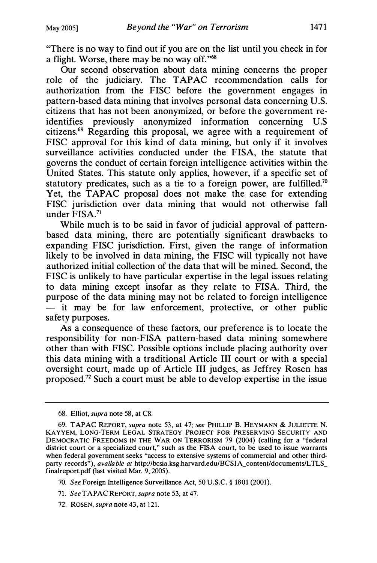"There is no way to find out if you are on the list until you check in for a flight. Worse, there may be no way off."68

Our second observation about data mining concerns the proper role of the judiciary. The TAPAC recommendation calls for authorization from the FISC before the government engages in pattern-based data mining that involves personal data concerning U.S. citizens that has not been anonymized, or before the government reidentifies previously anonymized information concerning U.S citizens.69 Regarding this proposal, we agree with a requirement of FISC approval for this kind of data mining, but only if it involves surveillance activities conducted under the FISA, the statute that governs the conduct of certain foreign intelligence activities within the United States. This statute only applies, however, if a specific set of statutory predicates, such as a tie to a foreign power, are fulfilled.<sup>70</sup> Yet, the TAPAC proposal does not make the case for extending PISC jurisdiction over data mining that would not otherwise fall under  $FISA$ <sup>71</sup>

While much is to be said in favor of judicial approval of patternbased data mining, there are potentially significant drawbacks to expanding PISC jurisdiction. First, given the range of information likely to be involved in data mining, the PISC will typically not have authorized initial collection of the data that will be mined. Second, the FISC is unlikely to have particular expertise in the legal issues relating to data mining except insofar as they relate to PISA. Third, the purpose of the data mining may not be related to foreign intelligence  $-$  it may be for law enforcement, protective, or other public safety purposes.

As a consequence of these factors, our preference is to locate the responsibility for non-PISA pattern-based data mining somewhere other than with FISC. Possible options include placing authority over this data mining with a traditional Article Ill court or with a special oversight court, made up of Article Ill judges, as Jeffrey Rosen has proposed.72 Such a court must be able to develop expertise in the issue

<sup>68.</sup> Elliot, supra note 58, at CS.

<sup>69.</sup> TAPAC REPORT, supra note 53, at 47; see PHILLIP B. HEYMANN & JULIETTE N. KAYYEM, LONG-TERM LEGAL STRATEGY PROJECT FOR PRESERVING SECURITY AND DEMOCRATIC FREEDOMS IN THE WAR ON TERRORISM 79 (2004) (calling for a "federal district court or a specialized court," such as the FISA court, to be used to issue warrants when federal government seeks "access to extensive systems of commercial and other thirdparty records"), available at http://bcsia.ksg.harvard.edu/BCSIA\_content/documents/LTLS\_ finalreport.pdf (last visited Mar. 9, 2005).

<sup>70.</sup> See Foreign Intelligence Surveillance Act, 50 U.S.C. § 1801 (2001).

<sup>71.</sup> See TAPAC REPORT, supra note 53, at 47.

<sup>72.</sup> ROSEN, supra note 43, at 121.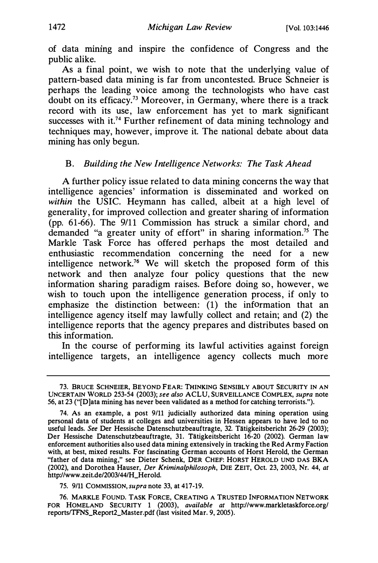of data mmmg and inspire the confidence of Congress and the public alike.

As a final point, we wish to note that the underlying value of pattern-based data mining is far from uncontested. Bruce Schneier is perhaps the leading voice among the technologists who have cast doubt on its efficacy.73 Moreover, in Germany, where there is a track record with its use, law enforcement has yet to mark significant successes with it.<sup>74</sup> Further refinement of data mining technology and techniques may, however, improve it. The national debate about data mining has only begun.

#### B. Building the New Intelligence Networks: The Task Ahead

A further policy issue related to data mining concerns the way that intelligence agencies' information is disseminated and worked on within the USIC. Heymann has called, albeit at a high level of generality, for improved collection and greater sharing of information (pp. 61-66). The 9/11 Commission has struck a similar chord, and demanded "a greater unity of effort" in sharing information.<sup>75</sup> The Markle Task Force has offered perhaps the most detailed and enthusiastic recommendation concerning the need for a new intelligence network.<sup>76</sup> We will sketch the proposed form of this network and then analyze four policy questions that the new information sharing paradigm raises. Before doing so, however, we wish to touch upon the intelligence generation process, if only to emphasize the distinction between: (1) the information that an intelligence agency itself may lawfully collect and retain; and (2) the intelligence reports that the agency prepares and distributes based on this information.

In the course of performing its lawful activities against foreign intelligence targets, an intelligence agency collects much more

75. 9/11 COMMISSION, supra note 33, at 417-19.

76. MARKLE FOUND. TASK FORCE, CREATING A TRUSTED INFORMATION NETWORK FOR HOMELAND SECURITY 1 (2003), available at http://www.markletaskforce.org/ reports/TFNS\_Report2\_Master.pdf (last visited Mar. 9, 2005).

<sup>73.</sup> BRUCE SCHNEIER, BEYOND FEAR: THINKING SENSIBLY ABOUT SECURITY IN AN UNCERTAIN WORLD 253-54 (2003); see also ACLU, SURVEILLANCE COMPLEX, supra note 56, at 23 ("[D]ata mining has never been validated as a method for catching terrorists.").

<sup>74.</sup> As an example, a post 9/11 judicially authorized data mining operation using personal data of students at colleges and universities in Hessen appears to have led to no useful leads. See Der Hessische Datenschutzbeauftragte, 32. Tätigkeitsbericht 26-29 (2003); Der Hessische Datenschutzbeauftragte, 31. Tätigkeitsbericht 16-20 (2002). German law enforcement authorities also used data mining extensively in tracking the Red Army Faction with, at best, mixed results. For fascinating German accounts of Horst Herold, the German "father of data mining," see Dieter Schenk, DER CHEF: HORST HEROLD UNO DAS BKA (2002), and Dorothea Hauser, Der Kriminalphilosoph, DIE ZEIT, Oct. 23, 2003, Nr. 44, at http://www.zeit.de/2003/44/H\_Herold.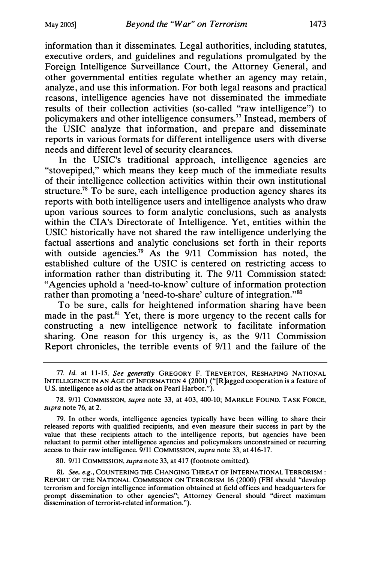information than it disseminates. Legal authorities, including statutes, executive orders, and guidelines and regulations promulgated by the Foreign Intelligence Surveillance Court, the Attorney General, and other governmental entities regulate whether an agency may retain, analyze, and use this information. For both legal reasons and practical reasons, intelligence agencies have not disseminated the immediate results of their collection activities (so-called "raw intelligence") to policymakers and other intelligence consumers.77 Instead, members of the USIC analyze that information, and prepare and disseminate reports in various formats for different intelligence users with diverse needs and different level of security clearances.

In the USIC's traditional approach, intelligence agencies are "stovepiped," which means they keep much of the immediate results of their intelligence collection activities within their own institutional structure.78 To be sure, each intelligence production agency shares its reports with both intelligence users and intelligence analysts who draw upon various sources to form analytic conclusions, such as analysts within the CIA's Directorate of Intelligence. Yet, entities within the USIC historically have not shared the raw intelligence underlying the factual assertions and analytic conclusions set forth in their reports with outside agencies.<sup>79</sup> As the  $9/11$  Commission has noted, the established culture of the USIC is centered on restricting access to information rather than distributing it. The 9/11 Commission stated: "Agencies uphold a 'need-to-know' culture of information protection rather than promoting a 'need-to-share' culture of integration."80

To be sure, calls for heightened information sharing have been made in the past.<sup>81</sup> Yet, there is more urgency to the recent calls for constructing a new intelligence network to facilitate information sharing. One reason for this urgency is, as the 9/11 Commission Report chronicles, the terrible events of 9/11 and the failure of the

77. Id. at 11-15. See generally GREGORY F. TREVERTON, RESHAPING NATIONAL INTELLIGENCE IN AN AGE OF INFORMATION 4 (2001) ("[R]agged cooperation is a feature of U.S. intelligence as old as the attack on Pearl Harbor.").

78. 9/11 COMMISSION, supra note 33, at 403, 400-10; MARKLE FOUND. TASK FORCE, supra note 76, at 2.

79. In other words, intelligence agencies typically have been willing to share their released reports with qualified recipients, and even measure their success in part by the value that these recipients attach to the intelligence reports, but agencies have been reluctant to permit other intelligence agencies and policymakers unconstrained or recurring access to their raw intelligence. 9/11 COMMISSION, supra note 33, at 416-17.

80. 9/11 COMMISSION, supra note 33, at 417 (footnote omitted).

81. See, e.g., COUNTERING THE CHANGING THREAT OF INTERNATIONAL TERRORISM : REPORT OF THE NATIONAL COMMISSION ON TERRORISM 16 (2000) (FBI should "develop terrorism and foreign intelligence information obtained at field offices and headquarters for prompt dissemination to other agencies"; Attorney General should "direct maximum dissemination of terrorist-related information.").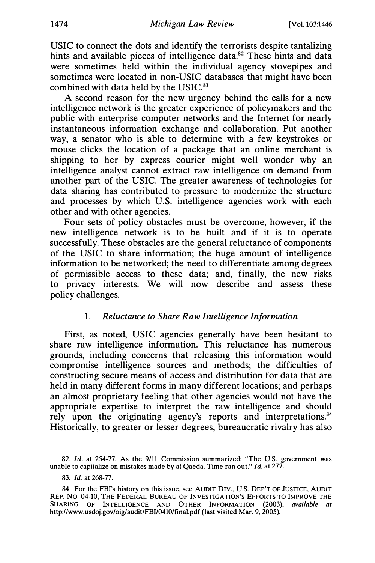USIC to connect the dots and identify the terrorists despite tantalizing hints and available pieces of intelligence data.<sup>82</sup> These hints and data were sometimes held within the individual agency stovepipes and sometimes were located in non-USIC databases that might have been combined with data held by the USIC.<sup>83</sup>

A second reason for the new urgency behind the calls for a new intelligence network is the greater experience of policymakers and the public with enterprise computer networks and the Internet for nearly instantaneous information exchange and collaboration. Put another way, a senator who is able to determine with a few keystrokes or mouse clicks the location of a package that an online merchant is shipping to her by express courier might well wonder why an intelligence analyst cannot extract raw intelligence on demand from another part of the USIC. The greater awareness of technologies for data sharing has contributed to pressure to modernize the structure and processes by which U.S. intelligence agencies work with each other and with other agencies.

Four sets of policy obstacles must be overcome, however, if the new intelligence network is to be built and if it is to operate successfully. These obstacles are the general reluctance of components of the USIC to share information; the huge amount of intelligence information to be networked; the need to differentiate among degrees of permissible access to these data; and, finally, the new risks to privacy interests. We will now describe and assess these policy challenges.

# 1. Reluctance to Share Raw Intelligence Information

First, as noted, USIC agencies generally have been hesitant to share raw intelligence information. This reluctance has numerous grounds, including concerns that releasing this information would compromise intelligence sources and methods; the difficulties of constructing secure means of access and distribution for data that are held in many different forms in many different locations; and perhaps an almost proprietary feeling that other agencies would not have the appropriate expertise to interpret the raw intelligence and should rely upon the originating agency's reports and interpretations.<sup>84</sup> Historically, to greater or lesser degrees, bureaucratic rivalry has also

<sup>82.</sup> Id. at 254-77. As the 9/11 Commission summarized: "The U.S. government was unable to capitalize on mistakes made by al Qaeda. Time ran out." Id. at 277.

<sup>83.</sup> Id. at 268-77.

<sup>84.</sup> For the FBI's history on this issue, see AUDIT DIV., U.S. DEP'T OF JUSTICE, AUDIT REP. NO. 04-10, THE FEDERAL BUREAU OF INVESTIGATION'S EFFORTS TO IMPROVE THE SHARING OF INTELLIGENCE AND OTHER INFORMATION (2003), available at http://www.usdoj.gov/oig/audit/FBI/0410/final.pdf (last visited Mar. 9, 2005).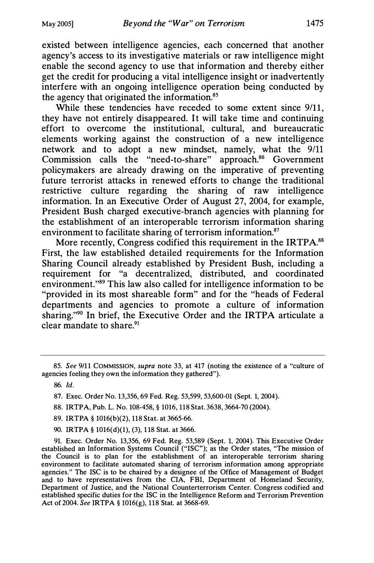existed between intelligence agencies, each concerned that another agency's access to its investigative materials or raw intelligence might enable the second agency to use that information and thereby either get the credit for producing a vital intelligence insight or inadvertently interfere with an ongoing intelligence operation being conducted by the agency that originated the information.<sup>85</sup>

While these tendencies have receded to some extent since 9/11, they have not entirely disappeared. It will take time and continuing effort to overcome the institutional, cultural, and bureaucratic elements working against the construction of a new intelligence network and to adopt a new mindset, namely, what the 9/11 Commission calls the "need-to-share" approach.<sup>86</sup> Government policymakers are already drawing on the imperative of preventing future terrorist attacks in renewed efforts to change the traditional restrictive culture regarding the sharing of raw intelligence information. In an Executive Order of August 27, 2004, for example, President Bush charged executive-branch agencies with planning for the establishment of an interoperable terrorism information sharing environment to facilitate sharing of terrorism information.<sup>87</sup>

More recently, Congress codified this requirement in the IRTPA.<sup>88</sup> First, the law established detailed requirements for the Information Sharing Council already established by President Bush, including a requirement for "a decentralized, distributed, and coordinated environment."89 This law also called for intelligence information to be "provided in its most shareable form" and for the "heads of Federal departments and agencies to promote a culture of information sharing."<sup>90</sup> In brief, the Executive Order and the IRTPA articulate a clear mandate to share.<sup>91</sup>

- 88. IRTPA, Pub. L. No. 108-458, § 1016, 118 Stat. 3638, 3664-70 (2004).
- 89. IRTPA § 1016(b)(2), 118 Stat. at 3665-66.
- 90. IRTPA § 1016(d)(1), (3), 118 Stat. at 3666.

91. Exec. Order No. 13,356, 69 Fed. Reg. 53,589 (Sept. 1, 2004). This Executive Order established an Information Systems Council ("ISC"); as the Order states, "The mission of the Council is to plan for the establishment of an interoperable terrorism sharing environment to facilitate automated sharing of terrorism information among appropriate agencies." The ISC is to be chaired by a designee of the Office of Management of Budget and to have representatives from the CIA, FBI, Department of Homeland Security, Department of Justice, and the National Counterterrorism Center. Congress codified and established specific duties for the ISC in the Intelligence Reform and Terrorism Prevention Act of 2004. See IRTPA § 1016(g), 118 Stat. at 3668-69.

<sup>85.</sup> See 9/11 COMMISSION, supra note 33, at 417 (noting the existence of a "culture of agencies feeling they own the information they gathered").

<sup>86.</sup> Id.

<sup>87.</sup> Exec. Order No. 13,356, 69 Fed. Reg. 53,599, 53,600-01 (Sept. 1, 2004).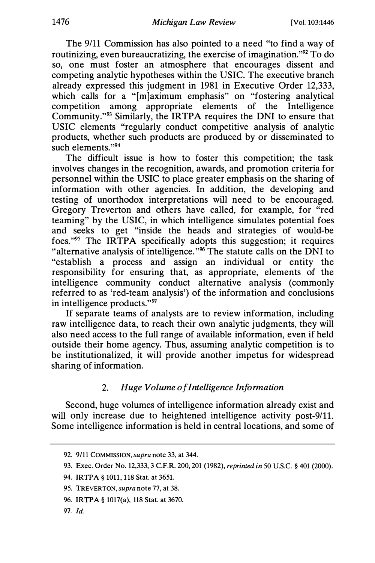The 9/11 Commission has also pointed to a need "to find a way of routinizing, even bureaucratizing, the exercise of imagination."92 To do so, one must foster an atmosphere that encourages dissent and competing analytic hypotheses within the USIC. The executive branch already expressed this judgment in 1981 in Executive Order 12,333, which calls for a "[m]aximum emphasis" on "fostering analytical competition among appropriate elements of the Intelligence Community."93 Similarly, the IRTPA requires the DNI to ensure that USIC elements "regularly conduct competitive analysis of analytic products, whether such products are produced by or disseminated to  $\sin$ ch elements.  $\frac{1}{2}$ <sup>94</sup>

The difficult issue is how to foster this competition; the task involves changes in the recognition, awards, and promotion criteria for personnel within the USIC to place greater emphasis on the sharing of information with other agencies. In addition, the developing and testing of unorthodox interpretations will need to be encouraged. Gregory Treverton and others have called, for example, for "red teaming" by the USIC, in which intelligence simulates potential foes and seeks to get "inside the heads and strategies of would-be foes."95 The IRTPA specifically adopts this suggestion; it requires "alternative analysis of intelligence."<sup>96</sup> The statute calls on the DNI to "establish a process and assign an individual or entity the responsibility for ensuring that, as appropriate, elements of the intelligence community conduct alternative analysis (commonly referred to as 'red-team analysis') of the information and conclusions in intelligence products."<sup>97</sup>

If separate teams of analysts are to review information, including raw intelligence data, to reach their own analytic judgments, they will also need access to the full range of available information, even if held outside their home agency. Thus, assuming analytic competition is to be institutionalized, it will provide another impetus for widespread sharing of information.

## 2. Huge Volume of Intelligence Information

Second, huge volumes of intelligence information already exist and will only increase due to heightened intelligence activity post-9/11. Some intelligence information is held in central locations, and some of

- 96. IRTPA § 1017(a), 118 Stat. at 3670.
- 97. Id.

<sup>92. 9/11</sup> COMMISSION, supra note 33, at 344.

<sup>93.</sup> Exec. Order No. 12,333, 3 C.F.R. 200, 201 (1982), reprinted in 50 U.S.C. § 401 (2000).

<sup>94.</sup> IRTPA § 1011, 1 18 Stat. at 3651.

<sup>95.</sup> TREVERTON, supra note 77, at 38.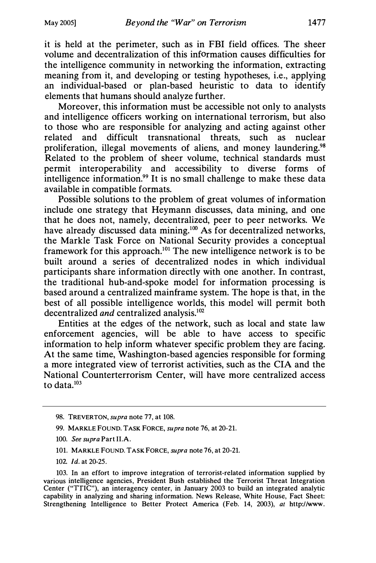it is held at the perimeter, such as in FBI field offices. The sheer volume and decentralization of this information causes difficulties for the intelligence community in networking the information, extracting meaning from it, and developing or testing hypotheses, i.e., applying an individual-based or plan-based heuristic to data to identify elements that humans should analyze further.

Moreover, this information must be accessible not only to analysts and intelligence officers working on international terrorism, but also to those who are responsible for analyzing and acting against other related and difficult transnational threats, such as nuclear proliferation, illegal movements of aliens, and money laundering.98 Related to the problem of sheer volume, technical standards must permit interoperability and accessibility to diverse forms of intelligence information.<sup>99</sup> It is no small challenge to make these data available in compatible formats.

Possible solutions to the problem of great volumes of information include one strategy that Heymann discusses, data mining, and one that he does not, namely, decentralized, peer to peer networks. We have already discussed data mining.<sup>100</sup> As for decentralized networks, the Markle Task Force on National Security provides a conceptual framework for this approach.<sup>101</sup> The new intelligence network is to be built around a series of decentralized nodes in which individual participants share information directly with one another. In contrast, the traditional hub-and-spoke model for information processing is based around a centralized mainframe system. The hope is that, in the best of all possible intelligence worlds, this model will permit both decentralized *and* centralized analysis.<sup>102</sup>

Entities at the edges of the network, such as local and state law enforcement agencies, will be able to have access to specific information to help inform whatever specific problem they are facing. At the same time, Washington-based agencies responsible for forming a more integrated view of terrorist activities, such as the CIA and the National Counterterrorism Center, will have more centralized access to data $103$ 

- 100. See supra Part II.A.
- 101. MARKLE FOUND. TASK FORCE, supra note 76, at 20-21.
- 102 Id. at 20-25.

103. In an effort to improve integration of terrorist-related information supplied by various intelligence agencies, President Bush established the Terrorist Threat Integration Center ("TTIC"), an interagency center, in January 2003 to build an integrated analytic capability in analyzing and sharing information. News Release, White House, Fact Sheet: Strengthening Intelligence to Better Protect America (Feb. 14, 2003), at http://www.

<sup>98.</sup> TREVERTON, *supra* note 77, at 108.

<sup>99.</sup> MARKLE FOUND. TASK FORCE, supra note 76, at 20-21.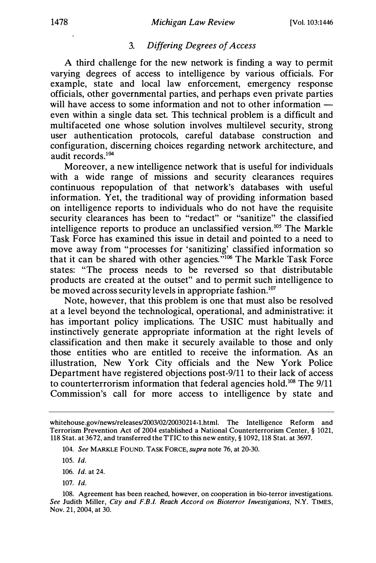# 3. Differing Degrees of Access

A third challenge for the new network is finding a way to permit varying degrees of access to intelligence by various officials. For example, state and local law enforcement, emergency response officials, other governmental parties, and perhaps even private parties will have access to some information and not to other information  $$ even within a single data set. This technical problem is a difficult and multifaceted one whose solution involves multilevel security, strong user authentication protocols, careful database construction and configuration, discerning choices regarding network architecture, and audit records. $104$ 

Moreover, a new intelligence network that is useful for individuals with a wide range of missions and security clearances requires continuous repopulation of that network's databases with useful information. Yet, the traditional way of providing information based on intelligence reports to individuals who do not have the requisite security clearances has been to "redact" or "sanitize" the classified intelligence reports to produce an unclassified version.105 The Markle Task Force has examined this issue in detail and pointed to a need to move away from "processes for 'sanitizing' classified information so that it can be shared with other agencies."<sup>106</sup> The Markle Task Force states: "The process needs to be reversed so that distributable products are created at the outset" and to permit such intelligence to be moved across security levels in appropriate fashion.<sup>107</sup>

Note, however, that this problem is one that must also be resolved at a level beyond the technological, operational, and administrative: it has important policy implications. The USIC must habitually and instinctively generate appropriate information at the right levels of classification and then make it securely available to those and only those entities who are entitled to receive the information. As an illustration, New York City officials and the New York Police Department have registered objections post-9/11 to their lack of access to counterterrorism information that federal agencies hold.108 The 9/11 Commission's call for more access to intelligence by state and

105. Id.

107. Id.

whitehouse.gov/news/releases/2003/02120030214-1.html. The Intelligence Reform and Terrorism Prevention Act of 2004 established a National Counterterrorism Center, § 1021, 118 Stat. at 3672, and transferred the TTIC to this new entity, § 1092, 118 Stat. at 3697.

<sup>104.</sup> See MARKLE FOUND. TASK FORCE, supra note 76, at 20-30.

<sup>106.</sup> Id. at 24.

<sup>108.</sup> Agreement has been reached, however, on cooperation in bio-terror investigations. See Judith Miller, City and F.B.l. Reach Accord on Bioterror Investigations, N.Y. TIMES, Nov. 21, 2004, at 30.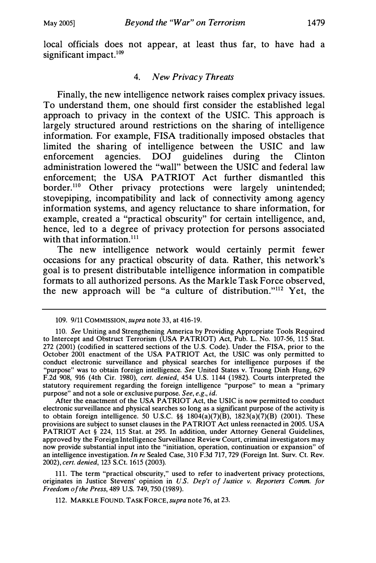local officials does not appear, at least thus far, to have had a significant impact.<sup>109</sup>

#### 4. New Privacy Threats

Finally, the new intelligence network raises complex privacy issues. To understand them, one should first consider the established legal approach to privacy in the context of the USIC. This approach is largely structured around restrictions on the sharing of intelligence information. For example, FISA traditionally imposed obstacles that limited the sharing of intelligence between the USIC and law enforcement agencies. DOJ guidelines during the Clinton administration lowered the "wall" between the USIC and federal law enforcement; the USA PATRIOT Act further dismantled this border.<sup>110</sup> Other privacy protections were largely unintended; stovepiping, incompatibility and lack of connectivity among agency information systems, and agency reluctance to share information, for example, created a "practical obscurity" for certain intelligence, and, hence, led to a degree of privacy protection for persons associated with that information.<sup>111</sup>

The new intelligence network would certainly permit fewer occasions for any practical obscurity of data. Rather, this network's goal is to present distributable intelligence information in compatible formats to all authorized persons. As the Markle Task Force observed, the new approach will be "a culture of distribution."112 Yet, the

111. The term "practical obscurity," used to refer to inadvertent privacy protections, originates in Justice Stevens' opinion in U.S. Dep't of Justice v. Reporters Comm. for Freedom of the Press, 489 U.S. 749, 750 (1989).

112. MARKLE FOUND. TASK FORCE, supra note 76, at 23.

<sup>109. 9/11</sup> COMMISSION, supra note 33, at 416-19.

<sup>110.</sup> See Uniting and Strengthening America by Providing Appropriate Tools Required to Intercept and Obstruct Terrorism (USA PATRIOT) Act, Pub. L. No. 107-56, 115 Stat. 272 (2001) (codified in scattered sections of the U.S. Code). Under the FISA, prior to the October 2001 enactment of the USA PATRIOT Act, the USIC was only permitted to conduct electronic surveillance and physical searches for intelligence purposes if the "purpose" was to obtain foreign intelligence. See United States v. Truong Dinh Hung, 629 F.2d 908, 916 (4th Cir. 1980), cert. denied, 454 U.S. 1 144 (1982). Courts interpreted the statutory requirement regarding the foreign intelligence "purpose" to mean a "primary purpose" and not a sole or exclusive purpose. See, e.g., id.

After the enactment of the USA PATRIOT Act, the USIC is now permitted to conduct electronic surveillance and physical searches so long as a significant purpose of the activity is to obtain foreign intelligence. 50 U.S.C. §§ 1804(a)(7)(B), 1823(a)(7)(B) (2001). These provisions are subject to sunset clauses in the PATRIOT Act unless reenacted in 2005. USA PATRIOT Act § 224, 115 Stat. at 295. In addition, under Attorney General Guidelines, approved by the Foreign Intelligence Surveillance Review Court, criminal investigators may now provide substantial input into the "initiation, operation, continuation or expansion" of an intelligence investigation. In re Sealed Case, 310 F.3d 717, 729 (Foreign Int. Surv. Ct. Rev. 2002), cert. denied, 123 S.Ct. 1615 (2003).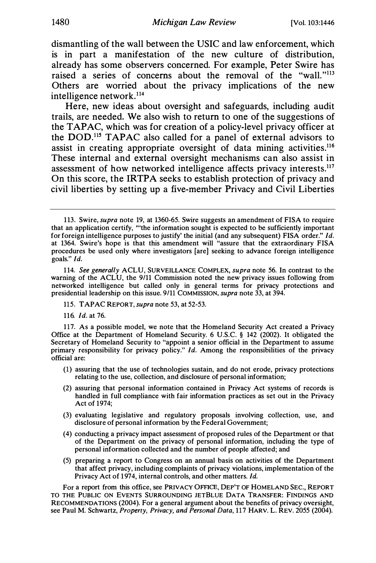dismantling of the wall between the USIC and law enforcement, which is in part a manifestation of the new culture of distribution, already has some observers concerned. For example, Peter Swire has raised a series of concerns about the removal of the "wall."<sup>113</sup> Others are worried about the privacy implications of the new intelligence network.114

Here, new ideas about oversight and safeguards, including audit trails, are needed. We also wish to return to one of the suggestions of the TAPAC, which was for creation of a policy-level privacy officer at the DOD.115 TAPAC also called for a panel of external advisors to assist in creating appropriate oversight of data mining activities.<sup>116</sup> These internal and external oversight mechanisms can also assist in assessment of how networked intelligence affects privacy interests.<sup>117</sup> On this score, the IRTPA seeks to establish protection of privacy and civil liberties by setting up a five-member Privacy and Civil Liberties

114. See generally ACLU, SURVEILLANCE COMPLEX, supra note 56. In contrast to the warning of the ACLU, the 9/11 Commission noted the new privacy issues following from networked intelligence but called only in general terms for privacy protections and presidential leadership on this issue. 9/11 COMMISSION, *supra* note 33, at 394.

115. TAPAC REPORT, supra note 53, at 52-53.

116. Id. at 76.

1 17. As a possible model, we note that the Homeland Security Act created a Privacy Office at the Department of Homeland Security. 6 U.S.C. § 142 (2002). It obligated the Secretary of Homeland Security to "appoint a senior official in the Department to assume primary responsibility for privacy policy." Id. Among the responsibilities of the privacy official are:

- (1) assuring that the use of technologies sustain, and do not erode, privacy protections relating to the use, collection, and disclosure of personal information;
- (2) assuring that personal information contained in Privacy Act systems of records is handled in full compliance with fair information practices as set out in the Privacy Act of 1974;
- (3) evaluating legislative and regulatory proposals involving collection, use, and disclosure of personal information by the Federal Government;
- (4) conducting a privacy impact assessment of proposed rules of the Department or that of the Department on the privacy of personal information, including the type of personal information collected and the number of people affected; and
- (5) preparing a report to Congress on an annual basis on activities of the Department that affect privacy, including complaints of privacy violations, implementation of the Privacy Act of 1974, internal controls, and other matters. Id.

For a report from this office, see PRIVACY OFFICE, DEP'T OF HOMELAND SEC., REPORT TO THE PUBLIC ON EVENTS SURROUNDING JETBLUE DATA TRANSFER: FINDINGS AND RECOMMENDATIONS (2004). For a general argument about the benefits of privacy oversight, see Paul M. Schwartz, Property, Privacy, and Personal Data, 117 HARV. L. REV. 2055 (2004).

<sup>113.</sup> Swire, supra note 19, at 1360-65. Swire suggests an amendment of FISA to require that an application certify, '"the information sought is expected to be sufficiently important for foreign intelligence purposes to justify' the initial (and any subsequent) FISA order." Id. at 1364. Swire's hope is that this amendment will "assure that the extraordinary FISA procedures be used only where investigators [are] seeking to advance foreign intelligence goals." Id.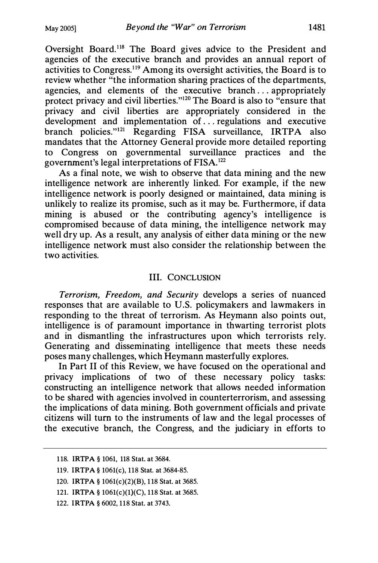Oversight Board.118 The Board gives advice to the President and agencies of the executive branch and provides an annual report of activities to Congress.119 Among its oversight activities, the Board is to review whether "the information sharing practices of the departments, agencies, and elements of the executive branch ... appropriately protect privacy and civil liberties."120 The Board is also to "ensure that privacy and civil liberties are appropriately considered in the development and implementation of ... regulations and executive branch policies."121 Regarding PISA surveillance, IRTPA also mandates that the Attorney General provide more detailed reporting to Congress on governmental surveillance practices and the government's legal interpretations of FISA.122

As a final note, we wish to observe that data mining and the new intelligence network are inherently linked. For example, if the new intelligence network is poorly designed or maintained, data mining is unlikely to realize its promise, such as it may be. Furthermore, if data mining is abused or the contributing agency's intelligence is compromised because of data mining, the intelligence network may well dry up. As a result, any analysis of either data mining or the new intelligence network must also consider the relationship between the two activities.

#### III. CONCLUSION

Terrorism, Freedom, and Security develops a series of nuanced responses that are available to U.S. policymakers and lawmakers in responding to the threat of terrorism. As Heymann also points out, intelligence is of paramount importance in thwarting terrorist plots and in dismantling the infrastructures upon which terrorists rely. Generating and disseminating intelligence that meets these needs poses many challenges, which Heymann masterfully explores.

In Part II of this Review, we have focused on the operational and privacy implications of two of these necessary policy tasks: constructing an intelligence network that allows needed information to be shared with agencies involved in counterterrorism, and assessing the implications of data mining. Both government officials and private citizens will turn to the instruments of law and the legal processes of the executive branch, the Congress, and the judiciary in efforts to

<sup>1 18.</sup> IRTPA § 1061, 118 Stat. at 3684.

<sup>119.</sup> IRTPA § 1061(c), 118 Stat. at 3684-85.

<sup>120.</sup> IRTPA § 1061(c)(2)(B), 1 18 Stat. at 3685.

<sup>121.</sup> IRTPA § 1061(c)(1)(C), 118 Stat. at 3685.

<sup>122.</sup> IRTPA § 6002, 118 Stat. at 3743.